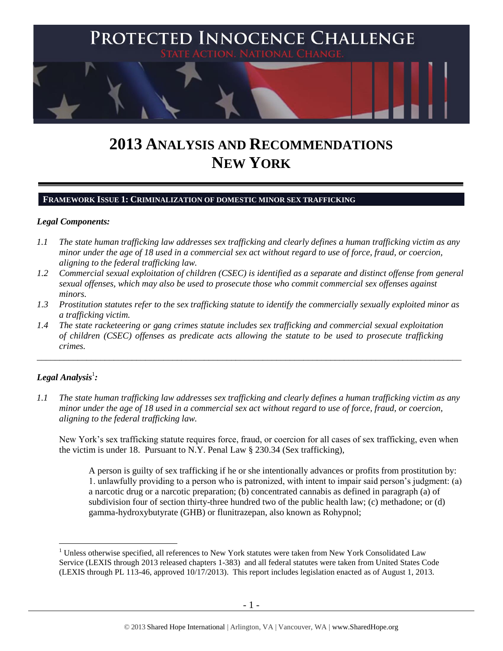

# **2013 ANALYSIS AND RECOMMENDATIONS NEW YORK**

# **FRAMEWORK ISSUE 1: CRIMINALIZATION OF DOMESTIC MINOR SEX TRAFFICKING**

# *Legal Components:*

- *1.1 The state human trafficking law addresses sex trafficking and clearly defines a human trafficking victim as any minor under the age of 18 used in a commercial sex act without regard to use of force, fraud, or coercion, aligning to the federal trafficking law.*
- *1.2 Commercial sexual exploitation of children (CSEC) is identified as a separate and distinct offense from general sexual offenses, which may also be used to prosecute those who commit commercial sex offenses against minors.*
- *1.3 Prostitution statutes refer to the sex trafficking statute to identify the commercially sexually exploited minor as a trafficking victim.*

\_\_\_\_\_\_\_\_\_\_\_\_\_\_\_\_\_\_\_\_\_\_\_\_\_\_\_\_\_\_\_\_\_\_\_\_\_\_\_\_\_\_\_\_\_\_\_\_\_\_\_\_\_\_\_\_\_\_\_\_\_\_\_\_\_\_\_\_\_\_\_\_\_\_\_\_\_\_\_\_\_\_\_\_\_\_\_\_\_\_\_\_\_\_

*1.4 The state racketeering or gang crimes statute includes sex trafficking and commercial sexual exploitation of children (CSEC) offenses as predicate acts allowing the statute to be used to prosecute trafficking crimes.* 

# $\bm{\mathit{Legal\, Analysis^1}}$ :

 $\overline{a}$ 

*1.1 The state human trafficking law addresses sex trafficking and clearly defines a human trafficking victim as any minor under the age of 18 used in a commercial sex act without regard to use of force, fraud, or coercion, aligning to the federal trafficking law.*

New York's sex trafficking statute requires force, fraud, or coercion for all cases of sex trafficking, even when the victim is under 18. Pursuant to N.Y. Penal Law § 230.34 (Sex trafficking),

A person is guilty of sex trafficking if he or she intentionally advances or profits from prostitution by: 1. unlawfully providing to a person who is patronized, with intent to impair said person's judgment: (a) a narcotic drug or a narcotic preparation; (b) concentrated cannabis as defined in paragraph (a) of subdivision four of section thirty-three hundred two of the public health law; (c) methadone; or (d) gamma-hydroxybutyrate (GHB) or flunitrazepan, also known as Rohypnol;

 $1$  Unless otherwise specified, all references to New York statutes were taken from New York Consolidated Law Service (LEXIS through 2013 released chapters 1-383) and all federal statutes were taken from United States Code (LEXIS through PL 113-46, approved 10/17/2013). This report includes legislation enacted as of August 1, 2013.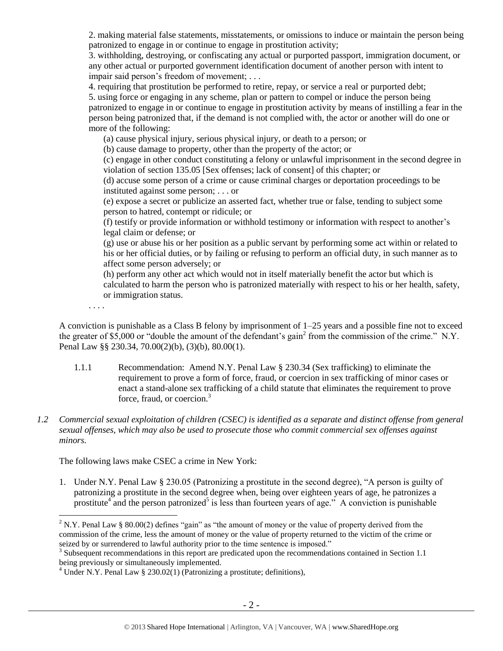2. making material false statements, misstatements, or omissions to induce or maintain the person being patronized to engage in or continue to engage in prostitution activity;

3. withholding, destroying, or confiscating any actual or purported passport, immigration document, or any other actual or purported government identification document of another person with intent to impair said person's freedom of movement; . . .

4. requiring that prostitution be performed to retire, repay, or service a real or purported debt; 5. using force or engaging in any scheme, plan or pattern to compel or induce the person being patronized to engage in or continue to engage in prostitution activity by means of instilling a fear in the person being patronized that, if the demand is not complied with, the actor or another will do one or more of the following:

(a) cause physical injury, serious physical injury, or death to a person; or

(b) cause damage to property, other than the property of the actor; or

(c) engage in other conduct constituting a felony or unlawful imprisonment in the second degree in violation of section 135.05 [Sex offenses; lack of consent] of this chapter; or

(d) accuse some person of a crime or cause criminal charges or deportation proceedings to be instituted against some person; . . . or

(e) expose a secret or publicize an asserted fact, whether true or false, tending to subject some person to hatred, contempt or ridicule; or

(f) testify or provide information or withhold testimony or information with respect to another's legal claim or defense; or

(g) use or abuse his or her position as a public servant by performing some act within or related to his or her official duties, or by failing or refusing to perform an official duty, in such manner as to affect some person adversely; or

(h) perform any other act which would not in itself materially benefit the actor but which is calculated to harm the person who is patronized materially with respect to his or her health, safety, or immigration status.

. . . .

 $\overline{a}$ 

A conviction is punishable as a Class B felony by imprisonment of 1–25 years and a possible fine not to exceed the greater of  $\overline{\$5,000\}$$  or "double the amount of the defendant's gain<sup>2</sup> from the commission of the crime." N.Y. Penal Law §§ 230.34, 70.00(2)(b), (3)(b), 80.00(1).

- 1.1.1 Recommendation: Amend N.Y. Penal Law § 230.34 (Sex trafficking) to eliminate the requirement to prove a form of force, fraud, or coercion in sex trafficking of minor cases or enact a stand-alone sex trafficking of a child statute that eliminates the requirement to prove force, fraud, or coercion.<sup>3</sup>
- *1.2 Commercial sexual exploitation of children (CSEC) is identified as a separate and distinct offense from general sexual offenses, which may also be used to prosecute those who commit commercial sex offenses against minors.*

The following laws make CSEC a crime in New York:

1. Under N.Y. Penal Law § 230.05 (Patronizing a prostitute in the second degree), "A person is guilty of patronizing a prostitute in the second degree when, being over eighteen years of age, he patronizes a prostitute<sup>4</sup> and the person patronized<sup>5</sup> is less than fourteen years of age." A conviction is punishable

<sup>&</sup>lt;sup>2</sup> N.Y. Penal Law § 80.00(2) defines "gain" as "the amount of money or the value of property derived from the commission of the crime, less the amount of money or the value of property returned to the victim of the crime or seized by or surrendered to lawful authority prior to the time sentence is imposed."

<sup>&</sup>lt;sup>3</sup> Subsequent recommendations in this report are predicated upon the recommendations contained in Section 1.1 being previously or simultaneously implemented.

<sup>&</sup>lt;sup>4</sup> Under N.Y. Penal Law § 230.02(1) (Patronizing a prostitute; definitions),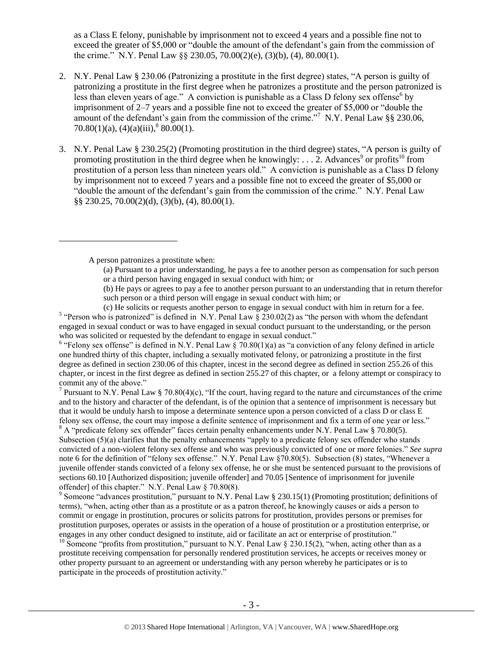<span id="page-2-0"></span>as a Class E felony, punishable by imprisonment not to exceed 4 years and a possible fine not to exceed the greater of \$5,000 or "double the amount of the defendant's gain from the commission of the crime." N.Y. Penal Law §§ 230.05, 70.00(2)(e), (3)(b), (4), 80.00(1).

- 2. N.Y. Penal Law § 230.06 (Patronizing a prostitute in the first degree) states, "A person is guilty of patronizing a prostitute in the first degree when he patronizes a prostitute and the person patronized is less than eleven years of age." A conviction is punishable as a Class D felony sex offense by imprisonment of 2–7 years and a possible fine not to exceed the greater of \$5,000 or "double the amount of the defendant's gain from the commission of the crime."<sup>7</sup> N.Y. Penal Law §§ 230.06, 70.80(1)(a),  $(4)(a)(iii)$ ,  $80.00(1)$ .
- 3. N.Y. Penal Law § 230.25(2) (Promoting prostitution in the third degree) states, "A person is guilty of promoting prostitution in the third degree when he knowingly: . . . 2. Advances<sup>9</sup> or profits<sup>10</sup> from prostitution of a person less than nineteen years old." A conviction is punishable as a Class D felony by imprisonment not to exceed 7 years and a possible fine not to exceed the greater of \$5,000 or "double the amount of the defendant's gain from the commission of the crime." N.Y. Penal Law §§ 230.25, 70.00(2)(d), (3)(b), (4), 80.00(1).

A person patronizes a prostitute when:

 $\overline{a}$ 

- <span id="page-2-2"></span><span id="page-2-1"></span>(a) Pursuant to a prior understanding, he pays a fee to another person as compensation for such person or a third person having engaged in sexual conduct with him; or
- (b) He pays or agrees to pay a fee to another person pursuant to an understanding that in return therefor such person or a third person will engage in sexual conduct with him; or
- (c) He solicits or requests another person to engage in sexual conduct with him in return for a fee.

<sup>5</sup> "Person who is patronized" is defined in N.Y. Penal Law  $\S$  230.02(2) as "the person with whom the defendant engaged in sexual conduct or was to have engaged in sexual conduct pursuant to the understanding, or the person who was solicited or requested by the defendant to engage in sexual conduct."

<sup>6</sup> "Felony sex offense" is defined in N.Y. Penal Law  $\S$  70.80(1)(a) as "a conviction of any felony defined in article one hundred thirty of this chapter, including a sexually motivated felony, or patronizing a prostitute in the first degree as defined in section 230.06 of this chapter, incest in the second degree as defined in section 255.26 of this chapter, or incest in the first degree as defined in section 255.27 of this chapter, or a felony attempt or conspiracy to commit any of the above."

<sup>7</sup> Pursuant to N.Y. Penal Law § 70.80(4)(c), "If the court, having regard to the nature and circumstances of the crime and to the history and character of the defendant, is of the opinion that a sentence of imprisonment is necessary but that it would be unduly harsh to impose a determinate sentence upon a person convicted of a class D or class E felony sex offense, the court may impose a definite sentence of imprisonment and fix a term of one year or less."

<sup>8</sup> A "predicate felony sex offender" faces certain penalty enhancements under N.Y. Penal Law § 70.80(5). Subsection (5)(a) clarifies that the penalty enhancements "apply to a predicate felony sex offender who stands convicted of a non-violent felony sex offense and who was previously convicted of one or more felonies." *See supra*  not[e 6](#page-2-0) for the definition of "felony sex offense." N.Y. Penal Law §70.80(5). Subsection (8) states, "Whenever a juvenile offender stands convicted of a felony sex offense, he or she must be sentenced pursuant to the provisions of sections 60.10 [Authorized disposition; juvenile offender] and 70.05 [Sentence of imprisonment for juvenile offender] of this chapter." N.Y. Penal Law § 70.80(8).

<sup>9</sup> Someone "advances prostitution," pursuant to N.Y. Penal Law § 230.15(1) (Promoting prostitution; definitions of terms), "when, acting other than as a prostitute or as a patron thereof, he knowingly causes or aids a person to commit or engage in prostitution, procures or solicits patrons for prostitution, provides persons or premises for prostitution purposes, operates or assists in the operation of a house of prostitution or a prostitution enterprise, or engages in any other conduct designed to institute, aid or facilitate an act or enterprise of prostitution."

<sup>10</sup> Someone "profits from prostitution," pursuant to N.Y. Penal Law § 230.15(2), "when, acting other than as a prostitute receiving compensation for personally rendered prostitution services, he accepts or receives money or other property pursuant to an agreement or understanding with any person whereby he participates or is to participate in the proceeds of prostitution activity."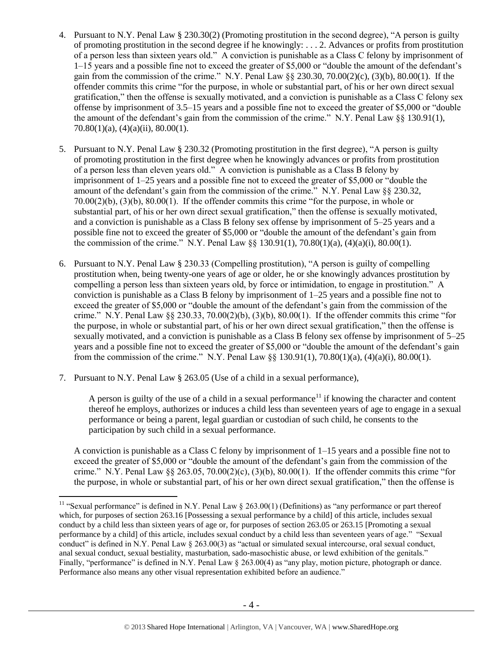- 4. Pursuant to N.Y. Penal Law § 230.30(2) (Promoting prostitution in the second degree), "A person is guilty of promoting prostitution in the second degree if he knowingly: . . . 2. Advances or profits from prostitution of a person less than sixteen years old." A conviction is punishable as a Class C felony by imprisonment of 1–15 years and a possible fine not to exceed the greater of \$5,000 or "double the amount of the defendant's gain from the commission of the crime." N.Y. Penal Law  $\S$  230.30, 70.00(2)(c), (3)(b), 80.00(1). If the offender commits this crime "for the purpose, in whole or substantial part, of his or her own direct sexual gratification," then the offense is sexually motivated, and a conviction is punishable as a Class C felony sex offense by imprisonment of 3.5–15 years and a possible fine not to exceed the greater of \$5,000 or "double the amount of the defendant's gain from the commission of the crime." N.Y. Penal Law §§ 130.91(1), 70.80(1)(a), (4)(a)(ii), 80.00(1).
- 5. Pursuant to N.Y. Penal Law § 230.32 (Promoting prostitution in the first degree), "A person is guilty of promoting prostitution in the first degree when he knowingly advances or profits from prostitution of a person less than eleven years old." A conviction is punishable as a Class B felony by imprisonment of 1–25 years and a possible fine not to exceed the greater of \$5,000 or "double the amount of the defendant's gain from the commission of the crime." N.Y. Penal Law §§ 230.32, 70.00(2)(b), (3)(b), 80.00(1). If the offender commits this crime "for the purpose, in whole or substantial part, of his or her own direct sexual gratification," then the offense is sexually motivated, and a conviction is punishable as a Class B felony sex offense by imprisonment of 5–25 years and a possible fine not to exceed the greater of \$5,000 or "double the amount of the defendant's gain from the commission of the crime." N.Y. Penal Law §§ 130.91(1), 70.80(1)(a), (4)(a)(i), 80.00(1).
- 6. Pursuant to N.Y. Penal Law § 230.33 (Compelling prostitution), "A person is guilty of compelling prostitution when, being twenty-one years of age or older, he or she knowingly advances prostitution by compelling a person less than sixteen years old, by force or intimidation, to engage in prostitution." A conviction is punishable as a Class B felony by imprisonment of 1–25 years and a possible fine not to exceed the greater of \$5,000 or "double the amount of the defendant's gain from the commission of the crime." N.Y. Penal Law  $\S$  230.33, 70.00(2)(b), (3)(b), 80.00(1). If the offender commits this crime "for the purpose, in whole or substantial part, of his or her own direct sexual gratification," then the offense is sexually motivated, and a conviction is punishable as a Class B felony sex offense by imprisonment of 5–25 years and a possible fine not to exceed the greater of \$5,000 or "double the amount of the defendant's gain from the commission of the crime." N.Y. Penal Law  $\S\S$  130.91(1), 70.80(1)(a), (4)(a)(i), 80.00(1).
- 7. Pursuant to N.Y. Penal Law § 263.05 (Use of a child in a sexual performance),

<span id="page-3-0"></span>A person is guilty of the use of a child in a sexual performance<sup>11</sup> if knowing the character and content thereof he employs, authorizes or induces a child less than seventeen years of age to engage in a sexual performance or being a parent, legal guardian or custodian of such child, he consents to the participation by such child in a sexual performance.

A conviction is punishable as a Class C felony by imprisonment of 1–15 years and a possible fine not to exceed the greater of \$5,000 or "double the amount of the defendant's gain from the commission of the crime." N.Y. Penal Law  $\S$  263.05, 70.00(2)(c), (3)(b), 80.00(1). If the offender commits this crime "for the purpose, in whole or substantial part, of his or her own direct sexual gratification," then the offense is

 $\overline{a}$ <sup>11</sup> "Sexual performance" is defined in N.Y. Penal Law  $\S$  263.00(1) (Definitions) as "any performance or part thereof which, for purposes of section 263.16 [Possessing a sexual performance by a child] of this article, includes sexual conduct by a child less than sixteen years of age or, for purposes of section 263.05 or 263.15 [Promoting a sexual performance by a child] of this article, includes sexual conduct by a child less than seventeen years of age." "Sexual conduct" is defined in N.Y. Penal Law § 263.00(3) as "actual or simulated sexual intercourse, oral sexual conduct, anal sexual conduct, sexual bestiality, masturbation, sado-masochistic abuse, or lewd exhibition of the genitals." Finally, "performance" is defined in N.Y. Penal Law § 263.00(4) as "any play, motion picture, photograph or dance. Performance also means any other visual representation exhibited before an audience."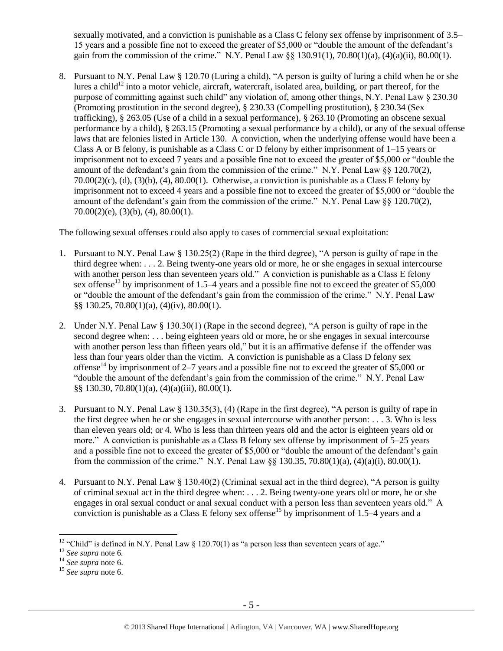sexually motivated, and a conviction is punishable as a Class C felony sex offense by imprisonment of 3.5– 15 years and a possible fine not to exceed the greater of \$5,000 or "double the amount of the defendant's gain from the commission of the crime." N.Y. Penal Law  $\S$  130.91(1), 70.80(1)(a), (4)(a)(ii), 80.00(1).

8. Pursuant to N.Y. Penal Law § 120.70 (Luring a child), "A person is guilty of luring a child when he or she lures a child<sup>12</sup> into a motor vehicle, aircraft, watercraft, isolated area, building, or part thereof, for the purpose of committing against such child" any violation of, among other things, N.Y. Penal Law  $\S 230.30$ (Promoting prostitution in the second degree), § 230.33 (Compelling prostitution), § 230.34 (Sex trafficking), § 263.05 (Use of a child in a sexual performance), § 263.10 (Promoting an obscene sexual performance by a child), § 263.15 (Promoting a sexual performance by a child), or any of the sexual offense laws that are felonies listed in Article 130. A conviction, when the underlying offense would have been a Class A or B felony, is punishable as a Class C or D felony by either imprisonment of 1–15 years or imprisonment not to exceed 7 years and a possible fine not to exceed the greater of \$5,000 or "double the amount of the defendant's gain from the commission of the crime." N.Y. Penal Law  $\S$ § 120.70(2),  $70.00(2)(c)$ , (d), (3)(b), (4), 80.00(1). Otherwise, a conviction is punishable as a Class E felony by imprisonment not to exceed 4 years and a possible fine not to exceed the greater of \$5,000 or "double the amount of the defendant's gain from the commission of the crime." N.Y. Penal Law §§ 120.70(2),  $70.00(2)(e)$ ,  $(3)(b)$ ,  $(4)$ ,  $80.00(1)$ .

The following sexual offenses could also apply to cases of commercial sexual exploitation:

- 1. Pursuant to N.Y. Penal Law § 130.25(2) (Rape in the third degree), "A person is guilty of rape in the third degree when: . . . 2. Being twenty-one years old or more, he or she engages in sexual intercourse with another person less than seventeen years old." A conviction is punishable as a Class E felony sex offense<sup>13</sup> by imprisonment of 1.5–4 years and a possible fine not to exceed the greater of \$5,000 or "double the amount of the defendant's gain from the commission of the crime." N.Y. Penal Law §§ 130.25, 70.80(1)(a), (4)(iv), 80.00(1).
- 2. Under N.Y. Penal Law § 130.30(1) (Rape in the second degree), "A person is guilty of rape in the second degree when: . . . being eighteen years old or more, he or she engages in sexual intercourse with another person less than fifteen years old," but it is an affirmative defense if the offender was less than four years older than the victim. A conviction is punishable as a Class D felony sex offense<sup>14</sup> by imprisonment of 2–7 years and a possible fine not to exceed the greater of \$5,000 or "double the amount of the defendant's gain from the commission of the crime." N.Y. Penal Law §§ 130.30, 70.80(1)(a), (4)(a)(iii), 80.00(1).
- 3. Pursuant to N.Y. Penal Law § 130.35(3), (4) (Rape in the first degree), "A person is guilty of rape in the first degree when he or she engages in sexual intercourse with another person: . . . 3. Who is less than eleven years old; or 4. Who is less than thirteen years old and the actor is eighteen years old or more." A conviction is punishable as a Class B felony sex offense by imprisonment of 5–25 years and a possible fine not to exceed the greater of \$5,000 or "double the amount of the defendant's gain from the commission of the crime." N.Y. Penal Law §§ 130.35, 70.80(1)(a), (4)(a)(i), 80.00(1).
- 4. Pursuant to N.Y. Penal Law § 130.40(2) (Criminal sexual act in the third degree), "A person is guilty of criminal sexual act in the third degree when: . . . 2. Being twenty-one years old or more, he or she engages in oral sexual conduct or anal sexual conduct with a person less than seventeen years old." A conviction is punishable as a Class E felony sex offense<sup>15</sup> by imprisonment of 1.5–4 years and a

<sup>&</sup>lt;sup>12</sup> "Child" is defined in N.Y. Penal Law § 120.70(1) as "a person less than seventeen years of age."

<sup>13</sup> *See supra* note [6](#page-2-0)*.*

<sup>14</sup> *See supra* note [6.](#page-2-0)

<sup>15</sup> *See supra* note [6.](#page-2-0)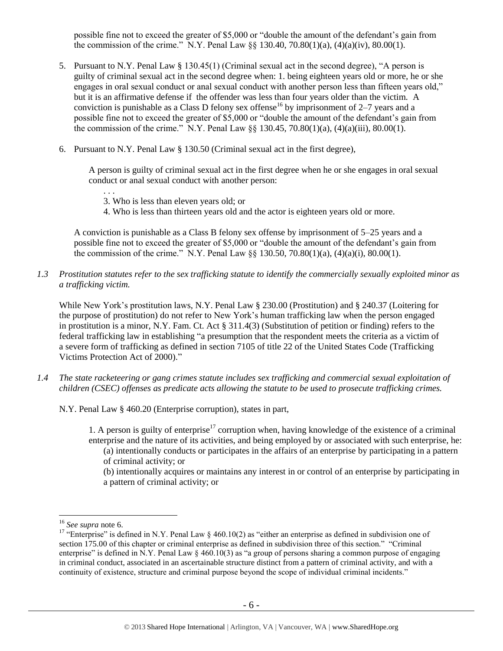possible fine not to exceed the greater of \$5,000 or "double the amount of the defendant's gain from the commission of the crime." N.Y. Penal Law  $\S$  130.40, 70.80(1)(a), (4)(a)(iv), 80.00(1).

- 5. Pursuant to N.Y. Penal Law § 130.45(1) (Criminal sexual act in the second degree), "A person is guilty of criminal sexual act in the second degree when: 1. being eighteen years old or more, he or she engages in oral sexual conduct or anal sexual conduct with another person less than fifteen years old," but it is an affirmative defense if the offender was less than four years older than the victim. A conviction is punishable as a Class D felony sex offense<sup>16</sup> by imprisonment of 2–7 years and a possible fine not to exceed the greater of \$5,000 or "double the amount of the defendant's gain from the commission of the crime." N.Y. Penal Law  $\S$  130.45, 70.80(1)(a), (4)(a)(iii), 80.00(1).
- 6. Pursuant to N.Y. Penal Law § 130.50 (Criminal sexual act in the first degree),

A person is guilty of criminal sexual act in the first degree when he or she engages in oral sexual conduct or anal sexual conduct with another person:

- . . . 3. Who is less than eleven years old; or
- 4. Who is less than thirteen years old and the actor is eighteen years old or more.

A conviction is punishable as a Class B felony sex offense by imprisonment of 5–25 years and a possible fine not to exceed the greater of \$5,000 or "double the amount of the defendant's gain from the commission of the crime." N.Y. Penal Law §§ 130.50, 70.80(1)(a), (4)(a)(i), 80.00(1).

*1.3 Prostitution statutes refer to the sex trafficking statute to identify the commercially sexually exploited minor as a trafficking victim.* 

While New York's prostitution laws, N.Y. Penal Law § 230.00 (Prostitution) and § 240.37 (Loitering for the purpose of prostitution) do not refer to New York's human trafficking law when the person engaged in prostitution is a minor, N.Y. Fam. Ct. Act § 311.4(3) (Substitution of petition or finding) refers to the federal trafficking law in establishing "a presumption that the respondent meets the criteria as a victim of a severe form of trafficking as defined in section 7105 of title 22 of the United States Code (Trafficking Victims Protection Act of 2000)."

- *1.4 The state racketeering or gang crimes statute includes sex trafficking and commercial sexual exploitation of children (CSEC) offenses as predicate acts allowing the statute to be used to prosecute trafficking crimes.* 
	- N.Y. Penal Law § 460.20 (Enterprise corruption), states in part,
		- 1. A person is guilty of enterprise<sup>17</sup> corruption when, having knowledge of the existence of a criminal enterprise and the nature of its activities, and being employed by or associated with such enterprise, he: (a) intentionally conducts or participates in the affairs of an enterprise by participating in a pattern of criminal activity; or
			- (b) intentionally acquires or maintains any interest in or control of an enterprise by participating in a pattern of criminal activity; or

<sup>16</sup> *See supra* note [6.](#page-2-0)

<sup>&</sup>lt;sup>17</sup> "Enterprise" is defined in N.Y. Penal Law § 460.10(2) as "either an enterprise as defined in subdivision one of section 175.00 of this chapter or criminal enterprise as defined in subdivision three of this section." "Criminal enterprise" is defined in N.Y. Penal Law  $\S$  460.10(3) as "a group of persons sharing a common purpose of engaging in criminal conduct, associated in an ascertainable structure distinct from a pattern of criminal activity, and with a continuity of existence, structure and criminal purpose beyond the scope of individual criminal incidents."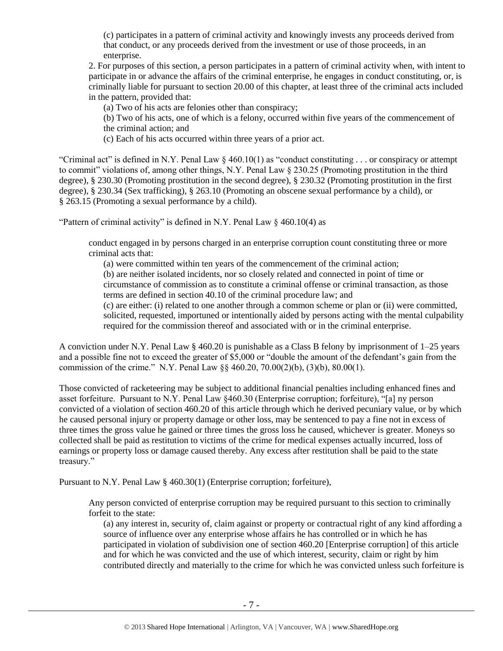(c) participates in a pattern of criminal activity and knowingly invests any proceeds derived from that conduct, or any proceeds derived from the investment or use of those proceeds, in an enterprise.

2. For purposes of this section, a person participates in a pattern of criminal activity when, with intent to participate in or advance the affairs of the criminal enterprise, he engages in conduct constituting, or, is criminally liable for pursuant to section 20.00 of this chapter, at least three of the criminal acts included in the pattern, provided that:

(a) Two of his acts are felonies other than conspiracy;

(b) Two of his acts, one of which is a felony, occurred within five years of the commencement of the criminal action; and

(c) Each of his acts occurred within three years of a prior act.

"Criminal act" is defined in N.Y. Penal Law  $\S$  460.10(1) as "conduct constituting . . . or conspiracy or attempt to commit" violations of, among other things, N.Y. Penal Law § 230.25 (Promoting prostitution in the third degree), § 230.30 (Promoting prostitution in the second degree), § 230.32 (Promoting prostitution in the first degree), § 230.34 (Sex trafficking), § 263.10 (Promoting an obscene sexual performance by a child), or § 263.15 (Promoting a sexual performance by a child).

"Pattern of criminal activity" is defined in N.Y. Penal Law § 460.10(4) as

conduct engaged in by persons charged in an enterprise corruption count constituting three or more criminal acts that:

(a) were committed within ten years of the commencement of the criminal action;

(b) are neither isolated incidents, nor so closely related and connected in point of time or circumstance of commission as to constitute a criminal offense or criminal transaction, as those terms are defined in section 40.10 of the criminal procedure law; and

(c) are either: (i) related to one another through a common scheme or plan or (ii) were committed, solicited, requested, importuned or intentionally aided by persons acting with the mental culpability required for the commission thereof and associated with or in the criminal enterprise.

A conviction under N.Y. Penal Law § 460.20 is punishable as a Class B felony by imprisonment of 1–25 years and a possible fine not to exceed the greater of \$5,000 or "double the amount of the defendant's gain from the commission of the crime." N.Y. Penal Law §§ 460.20, 70.00(2)(b), (3)(b), 80.00(1).

Those convicted of racketeering may be subject to additional financial penalties including enhanced fines and asset forfeiture. Pursuant to N.Y. Penal Law §460.30 (Enterprise corruption; forfeiture), "[a] ny person convicted of a violation of section 460.20 of this article through which he derived pecuniary value, or by which he caused personal injury or property damage or other loss, may be sentenced to pay a fine not in excess of three times the gross value he gained or three times the gross loss he caused, whichever is greater. Moneys so collected shall be paid as restitution to victims of the crime for medical expenses actually incurred, loss of earnings or property loss or damage caused thereby. Any excess after restitution shall be paid to the state treasury."

Pursuant to N.Y. Penal Law § 460.30(1) (Enterprise corruption; forfeiture),

Any person convicted of enterprise corruption may be required pursuant to this section to criminally forfeit to the state:

(a) any interest in, security of, claim against or property or contractual right of any kind affording a source of influence over any enterprise whose affairs he has controlled or in which he has participated in violation of subdivision one of section 460.20 [Enterprise corruption] of this article and for which he was convicted and the use of which interest, security, claim or right by him contributed directly and materially to the crime for which he was convicted unless such forfeiture is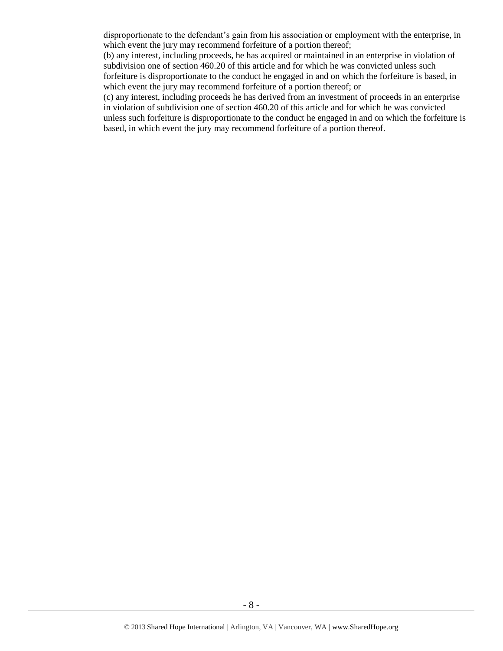disproportionate to the defendant's gain from his association or employment with the enterprise, in which event the jury may recommend forfeiture of a portion thereof;

(b) any interest, including proceeds, he has acquired or maintained in an enterprise in violation of subdivision one of section 460.20 of this article and for which he was convicted unless such forfeiture is disproportionate to the conduct he engaged in and on which the forfeiture is based, in which event the jury may recommend forfeiture of a portion thereof; or

(c) any interest, including proceeds he has derived from an investment of proceeds in an enterprise in violation of subdivision one of section 460.20 of this article and for which he was convicted unless such forfeiture is disproportionate to the conduct he engaged in and on which the forfeiture is based, in which event the jury may recommend forfeiture of a portion thereof.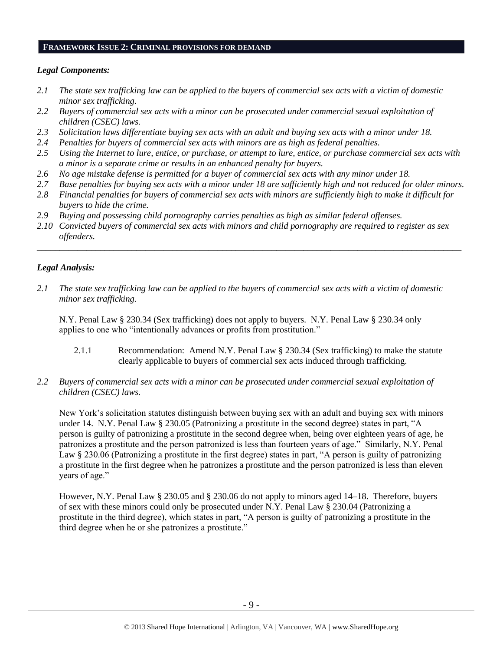#### **FRAMEWORK ISSUE 2: CRIMINAL PROVISIONS FOR DEMAND**

#### *Legal Components:*

- *2.1 The state sex trafficking law can be applied to the buyers of commercial sex acts with a victim of domestic minor sex trafficking.*
- *2.2 Buyers of commercial sex acts with a minor can be prosecuted under commercial sexual exploitation of children (CSEC) laws.*
- *2.3 Solicitation laws differentiate buying sex acts with an adult and buying sex acts with a minor under 18.*
- *2.4 Penalties for buyers of commercial sex acts with minors are as high as federal penalties.*
- *2.5 Using the Internet to lure, entice, or purchase, or attempt to lure, entice, or purchase commercial sex acts with a minor is a separate crime or results in an enhanced penalty for buyers.*
- *2.6 No age mistake defense is permitted for a buyer of commercial sex acts with any minor under 18.*
- *2.7 Base penalties for buying sex acts with a minor under 18 are sufficiently high and not reduced for older minors.*
- *2.8 Financial penalties for buyers of commercial sex acts with minors are sufficiently high to make it difficult for buyers to hide the crime.*
- *2.9 Buying and possessing child pornography carries penalties as high as similar federal offenses.*
- *2.10 Convicted buyers of commercial sex acts with minors and child pornography are required to register as sex offenders.*

\_\_\_\_\_\_\_\_\_\_\_\_\_\_\_\_\_\_\_\_\_\_\_\_\_\_\_\_\_\_\_\_\_\_\_\_\_\_\_\_\_\_\_\_\_\_\_\_\_\_\_\_\_\_\_\_\_\_\_\_\_\_\_\_\_\_\_\_\_\_\_\_\_\_\_\_\_\_\_\_\_\_\_\_\_\_\_\_\_\_\_\_\_\_

#### *Legal Analysis:*

*2.1 The state sex trafficking law can be applied to the buyers of commercial sex acts with a victim of domestic minor sex trafficking.*

N.Y. Penal Law § 230.34 (Sex trafficking) does not apply to buyers. N.Y. Penal Law § 230.34 only applies to one who "intentionally advances or profits from prostitution."

- 2.1.1 Recommendation: Amend N.Y. Penal Law § 230.34 (Sex trafficking) to make the statute clearly applicable to buyers of commercial sex acts induced through trafficking.
- *2.2 Buyers of commercial sex acts with a minor can be prosecuted under commercial sexual exploitation of children (CSEC) laws.*

New York's solicitation statutes distinguish between buying sex with an adult and buying sex with minors under 14. N.Y. Penal Law § 230.05 (Patronizing a prostitute in the second degree) states in part, "A person is guilty of patronizing a prostitute in the second degree when, being over eighteen years of age, he patronizes a prostitute and the person patronized is less than fourteen years of age." Similarly, N.Y. Penal Law § 230.06 (Patronizing a prostitute in the first degree) states in part, "A person is guilty of patronizing a prostitute in the first degree when he patronizes a prostitute and the person patronized is less than eleven years of age."

However, N.Y. Penal Law § 230.05 and § 230.06 do not apply to minors aged 14–18. Therefore, buyers of sex with these minors could only be prosecuted under N.Y. Penal Law § 230.04 (Patronizing a prostitute in the third degree), which states in part, "A person is guilty of patronizing a prostitute in the third degree when he or she patronizes a prostitute."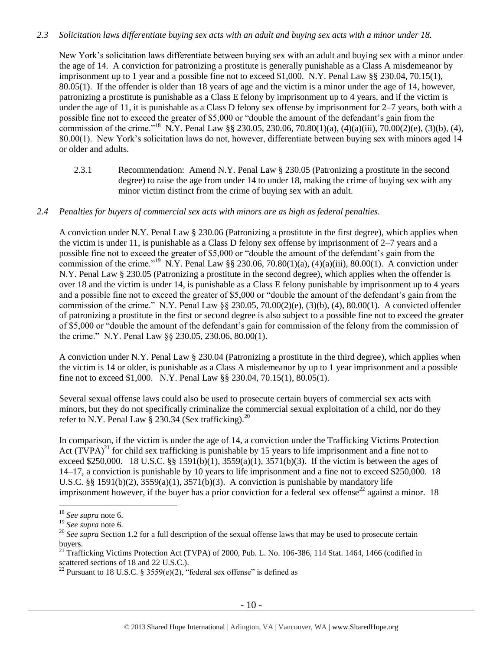# *2.3 Solicitation laws differentiate buying sex acts with an adult and buying sex acts with a minor under 18.*

New York's solicitation laws differentiate between buying sex with an adult and buying sex with a minor under the age of 14. A conviction for patronizing a prostitute is generally punishable as a Class A misdemeanor by imprisonment up to 1 year and a possible fine not to exceed \$1,000. N.Y. Penal Law §§ 230.04, 70.15(1), 80.05(1). If the offender is older than 18 years of age and the victim is a minor under the age of 14, however, patronizing a prostitute is punishable as a Class E felony by imprisonment up to 4 years, and if the victim is under the age of 11, it is punishable as a Class D felony sex offense by imprisonment for 2–7 years, both with a possible fine not to exceed the greater of \$5,000 or "double the amount of the defendant's gain from the commission of the crime."<sup>18</sup> N.Y. Penal Law §§ 230.05, 230.06, 70.80(1)(a), (4)(a)(iii), 70.00(2)(e), (3)(b), (4), 80.00(1). New York's solicitation laws do not, however, differentiate between buying sex with minors aged 14 or older and adults.

2.3.1 Recommendation: Amend N.Y. Penal Law § 230.05 (Patronizing a prostitute in the second degree) to raise the age from under 14 to under 18, making the crime of buying sex with any minor victim distinct from the crime of buying sex with an adult.

# *2.4 Penalties for buyers of commercial sex acts with minors are as high as federal penalties.*

A conviction under N.Y. Penal Law § 230.06 (Patronizing a prostitute in the first degree), which applies when the victim is under 11, is punishable as a Class D felony sex offense by imprisonment of 2–7 years and a possible fine not to exceed the greater of \$5,000 or "double the amount of the defendant's gain from the commission of the crime."<sup>19</sup> N.Y. Penal Law §§ 230.06, 70.80(1)(a), (4)(a)(iii), 80.00(1). A conviction under N.Y. Penal Law § 230.05 (Patronizing a prostitute in the second degree), which applies when the offender is over 18 and the victim is under 14, is punishable as a Class E felony punishable by imprisonment up to 4 years and a possible fine not to exceed the greater of \$5,000 or "double the amount of the defendant's gain from the commission of the crime." N.Y. Penal Law §§ 230.05, 70.00(2)(e), (3)(b), (4), 80.00(1). A convicted offender of patronizing a prostitute in the first or second degree is also subject to a possible fine not to exceed the greater of \$5,000 or "double the amount of the defendant's gain for commission of the felony from the commission of the crime." N.Y. Penal Law §§ 230.05, 230.06, 80.00(1).

A conviction under N.Y. Penal Law § 230.04 (Patronizing a prostitute in the third degree), which applies when the victim is 14 or older, is punishable as a Class A misdemeanor by up to 1 year imprisonment and a possible fine not to exceed \$1,000. N.Y. Penal Law §§ 230.04, 70.15(1), 80.05(1).

Several sexual offense laws could also be used to prosecute certain buyers of commercial sex acts with minors, but they do not specifically criminalize the commercial sexual exploitation of a child, nor do they refer to N.Y. Penal Law § 230.34 (Sex trafficking).<sup>20</sup>

<span id="page-9-0"></span>In comparison, if the victim is under the age of 14, a conviction under the Trafficking Victims Protection Act  $(TVPA)^{21}$  for child sex trafficking is punishable by 15 years to life imprisonment and a fine not to exceed \$250,000. 18 U.S.C.  $\S$  1591(b)(1), 3559(a)(1), 3571(b)(3). If the victim is between the ages of 14–17, a conviction is punishable by 10 years to life imprisonment and a fine not to exceed \$250,000. 18 U.S.C.  $\S$ § 1591(b)(2), 3559(a)(1), 3571(b)(3). A conviction is punishable by mandatory life imprisonment however, if the buyer has a prior conviction for a federal sex offense<sup>22</sup> against a minor. 18

<span id="page-9-1"></span><sup>18</sup> *See supra* note [6.](#page-2-0)

<sup>19</sup> *See supra* note [6.](#page-2-0)

<sup>&</sup>lt;sup>20</sup> See supra Section 1.2 for a full description of the sexual offense laws that may be used to prosecute certain buyers.

<sup>&</sup>lt;sup>21</sup> Trafficking Victims Protection Act (TVPA) of 2000, Pub. L. No. 106-386, 114 Stat. 1464, 1466 (codified in scattered sections of 18 and 22 U.S.C.).

<sup>&</sup>lt;sup>22</sup> Pursuant to 18 U.S.C. § 3559(e)(2), "federal sex offense" is defined as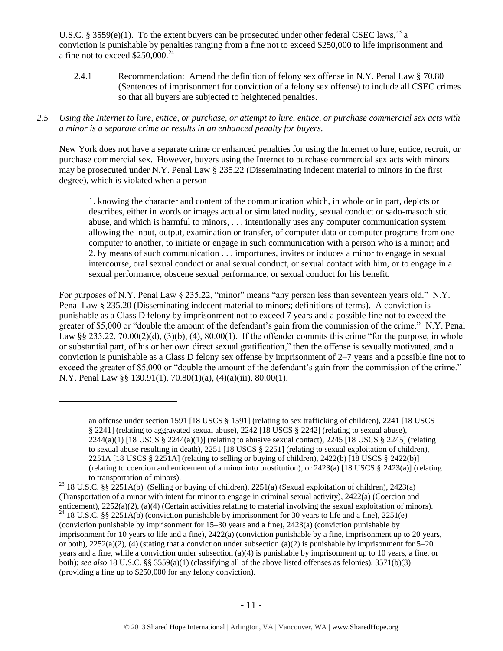U.S.C. § 3559(e)(1). To the extent buyers can be prosecuted under other federal CSEC laws,<sup>23</sup> a conviction is punishable by penalties ranging from a fine not to exceed \$250,000 to life imprisonment and a fine not to exceed  $$250,000.<sup>24</sup>$ 

- 2.4.1 Recommendation: Amend the definition of felony sex offense in N.Y. Penal Law § 70.80 (Sentences of imprisonment for conviction of a felony sex offense) to include all CSEC crimes so that all buyers are subjected to heightened penalties.
- *2.5 Using the Internet to lure, entice, or purchase, or attempt to lure, entice, or purchase commercial sex acts with a minor is a separate crime or results in an enhanced penalty for buyers.*

New York does not have a separate crime or enhanced penalties for using the Internet to lure, entice, recruit, or purchase commercial sex. However, buyers using the Internet to purchase commercial sex acts with minors may be prosecuted under N.Y. Penal Law § 235.22 (Disseminating indecent material to minors in the first degree), which is violated when a person

1. knowing the character and content of the communication which, in whole or in part, depicts or describes, either in words or images actual or simulated nudity, sexual conduct or sado-masochistic abuse, and which is harmful to minors, . . . intentionally uses any computer communication system allowing the input, output, examination or transfer, of computer data or computer programs from one computer to another, to initiate or engage in such communication with a person who is a minor; and 2. by means of such communication . . . importunes, invites or induces a minor to engage in sexual intercourse, oral sexual conduct or anal sexual conduct, or sexual contact with him, or to engage in a sexual performance, obscene sexual performance, or sexual conduct for his benefit.

For purposes of N.Y. Penal Law § 235.22, "minor" means "any person less than seventeen years old." N.Y. Penal Law § 235.20 (Disseminating indecent material to minors; definitions of terms). A conviction is punishable as a Class D felony by imprisonment not to exceed 7 years and a possible fine not to exceed the greater of \$5,000 or "double the amount of the defendant's gain from the commission of the crime." N.Y. Penal Law §§ 235.22,  $70.00(2)(d)$ ,  $(3)(b)$ ,  $(4)$ ,  $80.00(1)$ . If the offender commits this crime "for the purpose, in whole or substantial part, of his or her own direct sexual gratification," then the offense is sexually motivated, and a conviction is punishable as a Class D felony sex offense by imprisonment of 2–7 years and a possible fine not to exceed the greater of \$5,000 or "double the amount of the defendant's gain from the commission of the crime." N.Y. Penal Law §§ 130.91(1), 70.80(1)(a), (4)(a)(iii), 80.00(1).

an offense under section 1591 [18 USCS § 1591] (relating to sex trafficking of children), 2241 [18 USCS § 2241] (relating to aggravated sexual abuse), 2242 [18 USCS § 2242] (relating to sexual abuse),  $2244(a)(1)$  [18 USCS §  $2244(a)(1)$ ] (relating to abusive sexual contact),  $2245$  [18 USCS § 2245] (relating to sexual abuse resulting in death), 2251 [18 USCS § 2251] (relating to sexual exploitation of children), 2251A [18 USCS § 2251A] (relating to selling or buying of children), 2422(b) [18 USCS § 2422(b)] (relating to coercion and enticement of a minor into prostitution), or 2423(a) [18 USCS § 2423(a)] (relating to transportation of minors).

<sup>&</sup>lt;sup>23</sup> 18 U.S.C. §§ 2251A(b) (Selling or buying of children), 2251(a) (Sexual exploitation of children), 2423(a) (Transportation of a minor with intent for minor to engage in criminal sexual activity), 2422(a) (Coercion and enticement), 2252(a)(2), (a)(4) (Certain activities relating to material involving the sexual exploitation of minors). <sup>24</sup> 18 U.S.C. §§ 2251A(b) (conviction punishable by imprisonment for 30 years to life and a fine), 2251(e) (conviction punishable by imprisonment for 15–30 years and a fine), 2423(a) (conviction punishable by imprisonment for 10 years to life and a fine), 2422(a) (conviction punishable by a fine, imprisonment up to 20 years, or both),  $2252(a)(2)$ , (4) (stating that a conviction under subsection (a)(2) is punishable by imprisonment for 5–20 years and a fine, while a conviction under subsection (a)(4) is punishable by imprisonment up to 10 years, a fine, or both); *see also* 18 U.S.C. §§ 3559(a)(1) (classifying all of the above listed offenses as felonies), 3571(b)(3) (providing a fine up to \$250,000 for any felony conviction).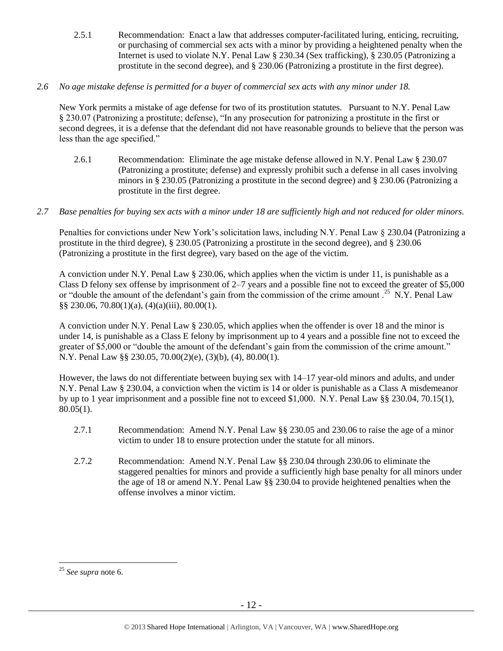2.5.1 Recommendation: Enact a law that addresses computer-facilitated luring, enticing, recruiting, or purchasing of commercial sex acts with a minor by providing a heightened penalty when the Internet is used to violate N.Y. Penal Law § 230.34 (Sex trafficking), § 230.05 (Patronizing a prostitute in the second degree), and § 230.06 (Patronizing a prostitute in the first degree).

# *2.6 No age mistake defense is permitted for a buyer of commercial sex acts with any minor under 18.*

New York permits a mistake of age defense for two of its prostitution statutes. Pursuant to N.Y. Penal Law § 230.07 (Patronizing a prostitute; defense), "In any prosecution for patronizing a prostitute in the first or second degrees, it is a defense that the defendant did not have reasonable grounds to believe that the person was less than the age specified."

- 2.6.1 Recommendation: Eliminate the age mistake defense allowed in N.Y. Penal Law § 230.07 (Patronizing a prostitute; defense) and expressly prohibit such a defense in all cases involving minors in § 230.05 (Patronizing a prostitute in the second degree) and § 230.06 (Patronizing a prostitute in the first degree.
- *2.7 Base penalties for buying sex acts with a minor under 18 are sufficiently high and not reduced for older minors.*

Penalties for convictions under New York's solicitation laws, including N.Y. Penal Law § 230.04 (Patronizing a prostitute in the third degree), § 230.05 (Patronizing a prostitute in the second degree), and § 230.06 (Patronizing a prostitute in the first degree), vary based on the age of the victim.

A conviction under N.Y. Penal Law § 230.06, which applies when the victim is under 11, is punishable as a Class D felony sex offense by imprisonment of 2–7 years and a possible fine not to exceed the greater of \$5,000 or "double the amount of the defendant's gain from the commission of the crime amount .<sup>25</sup> N.Y. Penal Law §§ 230.06, 70.80(1)(a), (4)(a)(iii), 80.00(1).

A conviction under N.Y. Penal Law § 230.05, which applies when the offender is over 18 and the minor is under 14, is punishable as a Class E felony by imprisonment up to 4 years and a possible fine not to exceed the greater of \$5,000 or "double the amount of the defendant's gain from the commission of the crime amount." N.Y. Penal Law §§ 230.05, 70.00(2)(e), (3)(b), (4), 80.00(1).

However, the laws do not differentiate between buying sex with 14–17 year-old minors and adults, and under N.Y. Penal Law § 230.04, a conviction when the victim is 14 or older is punishable as a Class A misdemeanor by up to 1 year imprisonment and a possible fine not to exceed \$1,000. N.Y. Penal Law §§ 230.04, 70.15(1),  $80.05(1)$ .

- 2.7.1 Recommendation: Amend N.Y. Penal Law §§ 230.05 and 230.06 to raise the age of a minor victim to under 18 to ensure protection under the statute for all minors.
- 2.7.2 Recommendation: Amend N.Y. Penal Law §§ 230.04 through 230.06 to eliminate the staggered penalties for minors and provide a sufficiently high base penalty for all minors under the age of 18 or amend N.Y. Penal Law §§ 230.04 to provide heightened penalties when the offense involves a minor victim.

 $\overline{a}$ <sup>25</sup> *See supra* note [6.](#page-2-0)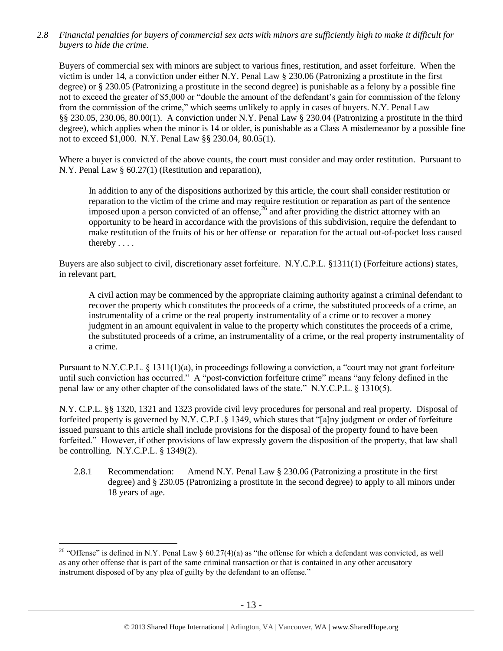*2.8 Financial penalties for buyers of commercial sex acts with minors are sufficiently high to make it difficult for buyers to hide the crime.* 

Buyers of commercial sex with minors are subject to various fines, restitution, and asset forfeiture. When the victim is under 14, a conviction under either N.Y. Penal Law § 230.06 (Patronizing a prostitute in the first degree) or § 230.05 (Patronizing a prostitute in the second degree) is punishable as a felony by a possible fine not to exceed the greater of \$5,000 or "double the amount of the defendant's gain for commission of the felony from the commission of the crime," which seems unlikely to apply in cases of buyers. N.Y. Penal Law §§ 230.05, 230.06, 80.00(1). A conviction under N.Y. Penal Law § 230.04 (Patronizing a prostitute in the third degree), which applies when the minor is 14 or older, is punishable as a Class A misdemeanor by a possible fine not to exceed \$1,000. N.Y. Penal Law §§ 230.04, 80.05(1).

Where a buyer is convicted of the above counts, the court must consider and may order restitution. Pursuant to N.Y. Penal Law § 60.27(1) (Restitution and reparation),

In addition to any of the dispositions authorized by this article, the court shall consider restitution or reparation to the victim of the crime and may require restitution or reparation as part of the sentence imposed upon a person convicted of an offense,<sup>26</sup> and after providing the district attorney with an opportunity to be heard in accordance with the provisions of this subdivision, require the defendant to make restitution of the fruits of his or her offense or reparation for the actual out-of-pocket loss caused thereby . . . .

Buyers are also subject to civil, discretionary asset forfeiture. N.Y.C.P.L. §1311(1) (Forfeiture actions) states, in relevant part,

A civil action may be commenced by the appropriate claiming authority against a criminal defendant to recover the property which constitutes the proceeds of a crime, the substituted proceeds of a crime, an instrumentality of a crime or the real property instrumentality of a crime or to recover a money judgment in an amount equivalent in value to the property which constitutes the proceeds of a crime, the substituted proceeds of a crime, an instrumentality of a crime, or the real property instrumentality of a crime.

Pursuant to N.Y.C.P.L. § 1311(1)(a), in proceedings following a conviction, a "court may not grant forfeiture until such conviction has occurred." A "post-conviction forfeiture crime" means "any felony defined in the penal law or any other chapter of the consolidated laws of the state." N.Y.C.P.L. § 1310(5).

N.Y. C.P.L. §§ 1320, 1321 and 1323 provide civil levy procedures for personal and real property. Disposal of forfeited property is governed by N.Y. C.P.L.§ 1349, which states that "[a]ny judgment or order of forfeiture issued pursuant to this article shall include provisions for the disposal of the property found to have been forfeited." However, if other provisions of law expressly govern the disposition of the property, that law shall be controlling. N.Y.C.P.L. § 1349(2).

2.8.1 Recommendation: Amend N.Y. Penal Law § 230.06 (Patronizing a prostitute in the first degree) and § 230.05 (Patronizing a prostitute in the second degree) to apply to all minors under 18 years of age.

<sup>&</sup>lt;sup>26</sup> "Offense" is defined in N.Y. Penal Law §  $60.27(4)(a)$  as "the offense for which a defendant was convicted, as well as any other offense that is part of the same criminal transaction or that is contained in any other accusatory instrument disposed of by any plea of guilty by the defendant to an offense."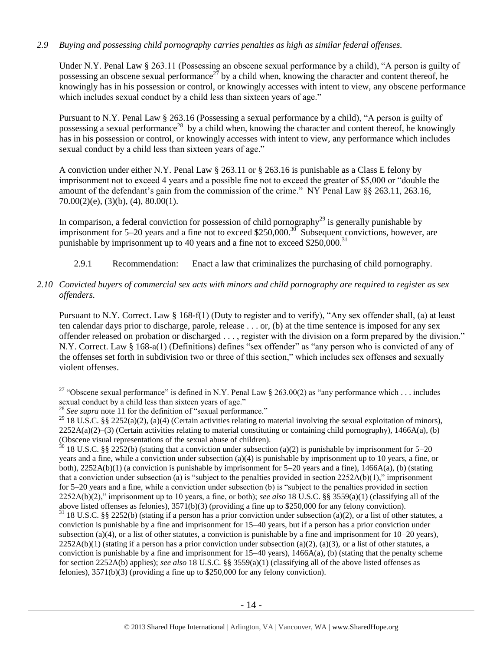# *2.9 Buying and possessing child pornography carries penalties as high as similar federal offenses.*

<span id="page-13-0"></span>Under N.Y. Penal Law § 263.11 (Possessing an obscene sexual performance by a child), "A person is guilty of possessing an obscene sexual performance<sup>27</sup> by a child when, knowing the character and content thereof, he knowingly has in his possession or control, or knowingly accesses with intent to view, any obscene performance which includes sexual conduct by a child less than sixteen years of age."

Pursuant to N.Y. Penal Law § 263.16 (Possessing a sexual performance by a child), "A person is guilty of possessing a sexual performance<sup>28</sup> by a child when, knowing the character and content thereof, he knowingly has in his possession or control, or knowingly accesses with intent to view, any performance which includes sexual conduct by a child less than sixteen years of age."

A conviction under either N.Y. Penal Law § 263.11 or § 263.16 is punishable as a Class E felony by imprisonment not to exceed 4 years and a possible fine not to exceed the greater of \$5,000 or "double the amount of the defendant's gain from the commission of the crime." NY Penal Law §§ 263.11, 263.16,  $70.00(2)(e)$ ,  $(3)(b)$ ,  $(4)$ ,  $80.00(1)$ .

In comparison, a federal conviction for possession of child pornography<sup>29</sup> is generally punishable by imprisonment for 5–20 years and a fine not to exceed \$250,000.<sup>30</sup> Subsequent convictions, however, are punishable by imprisonment up to 40 years and a fine not to exceed  $$250,000.<sup>31</sup>$ 

# 2.9.1 Recommendation: Enact a law that criminalizes the purchasing of child pornography.

# *2.10 Convicted buyers of commercial sex acts with minors and child pornography are required to register as sex offenders.*

Pursuant to N.Y. Correct. Law § 168-f(1) (Duty to register and to verify), "Any sex offender shall, (a) at least ten calendar days prior to discharge, parole, release . . . or, (b) at the time sentence is imposed for any sex offender released on probation or discharged . . . , register with the division on a form prepared by the division." N.Y. Correct. Law § 168-a(1) (Definitions) defines "sex offender" as "any person who is convicted of any of the offenses set forth in subdivision two or three of this section," which includes sex offenses and sexually violent offenses.

<sup>&</sup>lt;sup>27</sup> "Obscene sexual performance" is defined in N.Y. Penal Law § 263.00(2) as "any performance which . . . includes sexual conduct by a child less than sixteen years of age."

<sup>&</sup>lt;sup>28</sup> *See supra* note [11](#page-3-0) for the definition of "sexual performance."

<sup>&</sup>lt;sup>29</sup> 18 U.S.C. §§ 2252(a)(2), (a)(4) (Certain activities relating to material involving the sexual exploitation of minors),  $2252A(a)(2)$ –(3) (Certain activities relating to material constituting or containing child pornography), 1466A(a), (b) (Obscene visual representations of the sexual abuse of children).

 $30$  18 U.S.C. §§ 2252(b) (stating that a conviction under subsection (a)(2) is punishable by imprisonment for 5–20 years and a fine, while a conviction under subsection (a)(4) is punishable by imprisonment up to 10 years, a fine, or both),  $2252A(b)(1)$  (a conviction is punishable by imprisonment for  $5-20$  years and a fine),  $1466A(a)$ , (b) (stating that a conviction under subsection (a) is "subject to the penalties provided in section 2252A(b)(1)," imprisonment for 5–20 years and a fine, while a conviction under subsection (b) is "subject to the penalties provided in section 2252A(b)(2)," imprisonment up to 10 years, a fine, or both); *see also* 18 U.S.C. §§ 3559(a)(1) (classifying all of the above listed offenses as felonies), 3571(b)(3) (providing a fine up to \$250,000 for any felony conviction).

 $31$  18 U.S.C. §§ 2252(b) (stating if a person has a prior conviction under subsection (a)(2), or a list of other statutes, a conviction is punishable by a fine and imprisonment for 15–40 years, but if a person has a prior conviction under subsection (a)(4), or a list of other statutes, a conviction is punishable by a fine and imprisonment for  $10-20$  years),  $2252A(b)(1)$  (stating if a person has a prior conviction under subsection (a)(2), (a)(3), or a list of other statutes, a conviction is punishable by a fine and imprisonment for  $15-40$  years),  $1466A(a)$ , (b) (stating that the penalty scheme for section 2252A(b) applies); *see also* 18 U.S.C. §§ 3559(a)(1) (classifying all of the above listed offenses as felonies), 3571(b)(3) (providing a fine up to \$250,000 for any felony conviction).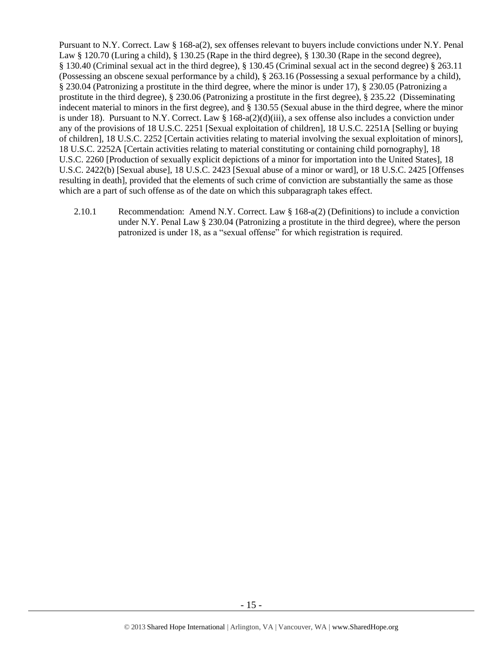Pursuant to N.Y. Correct. Law § 168-a(2), sex offenses relevant to buyers include convictions under N.Y. Penal Law § 120.70 (Luring a child), § 130.25 (Rape in the third degree), § 130.30 (Rape in the second degree), § 130.40 (Criminal sexual act in the third degree), § 130.45 (Criminal sexual act in the second degree) § 263.11 (Possessing an obscene sexual performance by a child), § 263.16 (Possessing a sexual performance by a child), § 230.04 (Patronizing a prostitute in the third degree, where the minor is under 17), § 230.05 (Patronizing a prostitute in the third degree), § 230.06 (Patronizing a prostitute in the first degree), § 235.22 (Disseminating indecent material to minors in the first degree), and § 130.55 (Sexual abuse in the third degree, where the minor is under 18). Pursuant to N.Y. Correct. Law § 168-a(2)(d)(iii), a sex offense also includes a conviction under any of the provisions of 18 U.S.C. 2251 [Sexual exploitation of children], 18 U.S.C. 2251A [Selling or buying of children], 18 U.S.C. 2252 [Certain activities relating to material involving the sexual exploitation of minors], 18 U.S.C. 2252A [Certain activities relating to material constituting or containing child pornography], 18 U.S.C. 2260 [Production of sexually explicit depictions of a minor for importation into the United States], 18 U.S.C. 2422(b) [Sexual abuse], 18 U.S.C. 2423 [Sexual abuse of a minor or ward], or 18 U.S.C. 2425 [Offenses resulting in death], provided that the elements of such crime of conviction are substantially the same as those which are a part of such offense as of the date on which this subparagraph takes effect.

2.10.1 Recommendation: Amend N.Y. Correct. Law § 168-a(2) (Definitions) to include a conviction under N.Y. Penal Law § 230.04 (Patronizing a prostitute in the third degree), where the person patronized is under 18, as a "sexual offense" for which registration is required.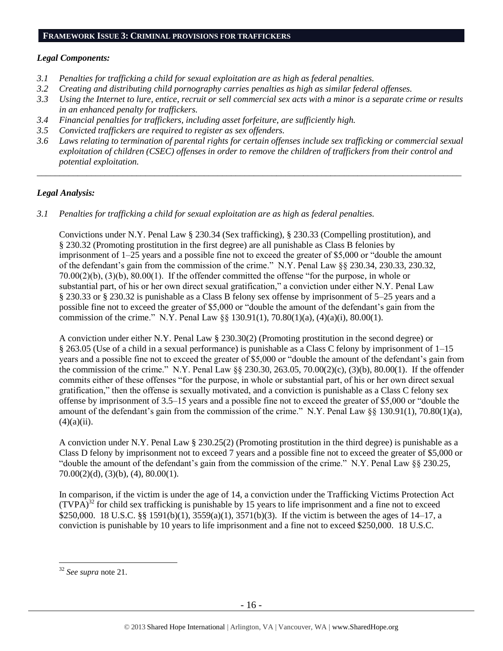#### **FRAMEWORK ISSUE 3: CRIMINAL PROVISIONS FOR TRAFFICKERS**

# *Legal Components:*

- *3.1 Penalties for trafficking a child for sexual exploitation are as high as federal penalties.*
- *3.2 Creating and distributing child pornography carries penalties as high as similar federal offenses.*
- *3.3 Using the Internet to lure, entice, recruit or sell commercial sex acts with a minor is a separate crime or results in an enhanced penalty for traffickers.*
- *3.4 Financial penalties for traffickers, including asset forfeiture, are sufficiently high.*
- *3.5 Convicted traffickers are required to register as sex offenders.*
- *3.6 Laws relating to termination of parental rights for certain offenses include sex trafficking or commercial sexual exploitation of children (CSEC) offenses in order to remove the children of traffickers from their control and potential exploitation.*

*\_\_\_\_\_\_\_\_\_\_\_\_\_\_\_\_\_\_\_\_\_\_\_\_\_\_\_\_\_\_\_\_\_\_\_\_\_\_\_\_\_\_\_\_\_\_\_\_\_\_\_\_\_\_\_\_\_\_\_\_\_\_\_\_\_\_\_\_\_\_\_\_\_\_\_\_\_\_\_\_\_\_\_\_\_\_\_\_\_\_\_\_\_\_*

# *Legal Analysis:*

*3.1 Penalties for trafficking a child for sexual exploitation are as high as federal penalties.* 

Convictions under N.Y. Penal Law § 230.34 (Sex trafficking), § 230.33 (Compelling prostitution), and § 230.32 (Promoting prostitution in the first degree) are all punishable as Class B felonies by imprisonment of 1–25 years and a possible fine not to exceed the greater of \$5,000 or "double the amount of the defendant's gain from the commission of the crime." N.Y. Penal Law §§ 230.34, 230.33, 230.32, 70.00(2)(b), (3)(b), 80.00(1). If the offender committed the offense "for the purpose, in whole or substantial part, of his or her own direct sexual gratification," a conviction under either N.Y. Penal Law § 230.33 or § 230.32 is punishable as a Class B felony sex offense by imprisonment of 5–25 years and a possible fine not to exceed the greater of \$5,000 or "double the amount of the defendant's gain from the commission of the crime." N.Y. Penal Law  $\S$  130.91(1), 70.80(1)(a), (4)(a)(i), 80.00(1).

A conviction under either N.Y. Penal Law § 230.30(2) (Promoting prostitution in the second degree) or § 263.05 (Use of a child in a sexual performance) is punishable as a Class C felony by imprisonment of 1–15 years and a possible fine not to exceed the greater of \$5,000 or "double the amount of the defendant's gain from the commission of the crime." N.Y. Penal Law §§ 230.30, 263.05, 70.00(2)(c), (3)(b), 80.00(1). If the offender commits either of these offenses "for the purpose, in whole or substantial part, of his or her own direct sexual gratification," then the offense is sexually motivated, and a conviction is punishable as a Class C felony sex offense by imprisonment of 3.5–15 years and a possible fine not to exceed the greater of \$5,000 or "double the amount of the defendant's gain from the commission of the crime." N.Y. Penal Law §§ 130.91(1), 70.80(1)(a),  $(4)(a)(ii)$ .

A conviction under N.Y. Penal Law § 230.25(2) (Promoting prostitution in the third degree) is punishable as a Class D felony by imprisonment not to exceed 7 years and a possible fine not to exceed the greater of \$5,000 or "double the amount of the defendant's gain from the commission of the crime." N.Y. Penal Law §§ 230.25,  $70.00(2)(d)$ ,  $(3)(b)$ ,  $(4)$ ,  $80.00(1)$ .

In comparison, if the victim is under the age of 14, a conviction under the Trafficking Victims Protection Act  $(TVPA)^{32}$  for child sex trafficking is punishable by 15 years to life imprisonment and a fine not to exceed \$250,000. 18 U.S.C. §§ 1591(b)(1), 3559(a)(1), 3571(b)(3). If the victim is between the ages of 14–17, a conviction is punishable by 10 years to life imprisonment and a fine not to exceed \$250,000. 18 U.S.C.

<sup>32</sup> *See supra* note [21.](#page-9-0)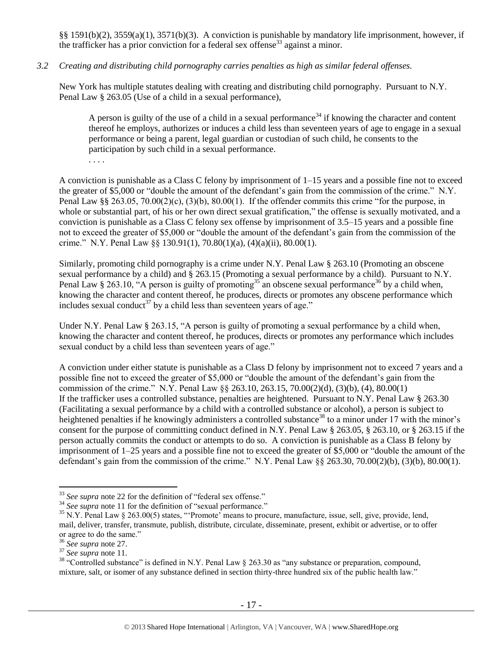§§ 1591(b)(2), 3559(a)(1), 3571(b)(3). A conviction is punishable by mandatory life imprisonment, however, if the trafficker has a prior conviction for a federal sex offense<sup>33</sup> against a minor.

# *3.2 Creating and distributing child pornography carries penalties as high as similar federal offenses.*

New York has multiple statutes dealing with creating and distributing child pornography. Pursuant to N.Y. Penal Law § 263.05 (Use of a child in a sexual performance),

A person is guilty of the use of a child in a sexual performance<sup>34</sup> if knowing the character and content thereof he employs, authorizes or induces a child less than seventeen years of age to engage in a sexual performance or being a parent, legal guardian or custodian of such child, he consents to the participation by such child in a sexual performance.

A conviction is punishable as a Class C felony by imprisonment of  $1-15$  years and a possible fine not to exceed the greater of \$5,000 or "double the amount of the defendant's gain from the commission of the crime." N.Y. Penal Law §§ 263.05, 70.00(2)(c), (3)(b), 80.00(1). If the offender commits this crime "for the purpose, in whole or substantial part, of his or her own direct sexual gratification," the offense is sexually motivated, and a conviction is punishable as a Class C felony sex offense by imprisonment of 3.5–15 years and a possible fine not to exceed the greater of \$5,000 or "double the amount of the defendant's gain from the commission of the crime." N.Y. Penal Law §§ 130.91(1), 70.80(1)(a), (4)(a)(ii), 80.00(1).

<span id="page-16-0"></span>Similarly, promoting child pornography is a crime under N.Y. Penal Law § 263.10 (Promoting an obscene sexual performance by a child) and § 263.15 (Promoting a sexual performance by a child). Pursuant to N.Y. Penal Law § 263.10, "A person is guilty of promoting<sup>35</sup> an obscene sexual performance<sup>36</sup> by a child when, knowing the character and content thereof, he produces, directs or promotes any obscene performance which includes sexual conduct<sup>37</sup> by a child less than seventeen years of age."

Under N.Y. Penal Law § 263.15, "A person is guilty of promoting a sexual performance by a child when, knowing the character and content thereof, he produces, directs or promotes any performance which includes sexual conduct by a child less than seventeen years of age."

A conviction under either statute is punishable as a Class D felony by imprisonment not to exceed 7 years and a possible fine not to exceed the greater of \$5,000 or "double the amount of the defendant's gain from the commission of the crime." N.Y. Penal Law §§ 263.10, 263.15, 70.00(2)(d), (3)(b), (4), 80.00(1) If the trafficker uses a controlled substance, penalties are heightened. Pursuant to N.Y. Penal Law § 263.30 (Facilitating a sexual performance by a child with a controlled substance or alcohol), a person is subject to heightened penalties if he knowingly administers a controlled substance<sup>38</sup> to a minor under 17 with the minor's consent for the purpose of committing conduct defined in N.Y. Penal Law § 263.05, § 263.10, or § 263.15 if the person actually commits the conduct or attempts to do so. A conviction is punishable as a Class B felony by imprisonment of 1–25 years and a possible fine not to exceed the greater of \$5,000 or "double the amount of the defendant's gain from the commission of the crime." N.Y. Penal Law §§ 263.30, 70.00(2)(b), (3)(b), 80.00(1).

 $\overline{a}$ 

. . . .

<sup>&</sup>lt;sup>33</sup> See supra note [22](#page-9-1) for the definition of "federal sex offense."

<sup>&</sup>lt;sup>34</sup> See supra note [11](#page-3-0) for the definition of "sexual performance."

<sup>&</sup>lt;sup>35</sup> N.Y. Penal Law § 263.00(5) states, "'Promote' means to procure, manufacture, issue, sell, give, provide, lend, mail, deliver, transfer, transmute, publish, distribute, circulate, disseminate, present, exhibit or advertise, or to offer or agree to do the same."

<sup>36</sup> *See supra* note [27.](#page-13-0)

<sup>37</sup> *See supra* note [11.](#page-3-0)

<sup>&</sup>lt;sup>38</sup> "Controlled substance" is defined in N.Y. Penal Law § 263.30 as "any substance or preparation, compound, mixture, salt, or isomer of any substance defined in section thirty-three hundred six of the public health law."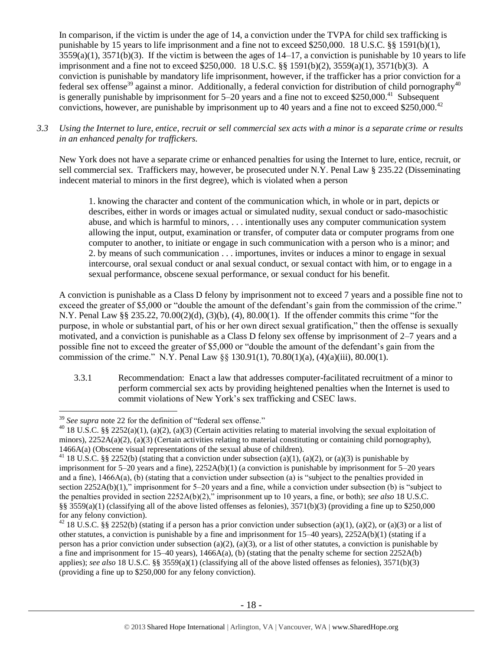In comparison, if the victim is under the age of 14, a conviction under the TVPA for child sex trafficking is punishable by 15 years to life imprisonment and a fine not to exceed \$250,000. 18 U.S.C. §§ 1591(b)(1),  $3559(a)(1)$ ,  $3571(b)(3)$ . If the victim is between the ages of  $14-17$ , a conviction is punishable by 10 years to life imprisonment and a fine not to exceed \$250,000. 18 U.S.C. §§ 1591(b)(2), 3559(a)(1), 3571(b)(3). A conviction is punishable by mandatory life imprisonment, however, if the trafficker has a prior conviction for a federal sex offense<sup>39</sup> against a minor. Additionally, a federal conviction for distribution of child pornography<sup>40</sup> is generally punishable by imprisonment for  $5-20$  years and a fine not to exceed \$250,000.<sup>41</sup> Subsequent convictions, however, are punishable by imprisonment up to 40 years and a fine not to exceed \$250,000.<sup>42</sup>

*3.3 Using the Internet to lure, entice, recruit or sell commercial sex acts with a minor is a separate crime or results in an enhanced penalty for traffickers.*

New York does not have a separate crime or enhanced penalties for using the Internet to lure, entice, recruit, or sell commercial sex. Traffickers may, however, be prosecuted under N.Y. Penal Law § 235.22 (Disseminating indecent material to minors in the first degree), which is violated when a person

1. knowing the character and content of the communication which, in whole or in part, depicts or describes, either in words or images actual or simulated nudity, sexual conduct or sado-masochistic abuse, and which is harmful to minors, . . . intentionally uses any computer communication system allowing the input, output, examination or transfer, of computer data or computer programs from one computer to another, to initiate or engage in such communication with a person who is a minor; and 2. by means of such communication . . . importunes, invites or induces a minor to engage in sexual intercourse, oral sexual conduct or anal sexual conduct, or sexual contact with him, or to engage in a sexual performance, obscene sexual performance, or sexual conduct for his benefit.

A conviction is punishable as a Class D felony by imprisonment not to exceed 7 years and a possible fine not to exceed the greater of \$5,000 or "double the amount of the defendant's gain from the commission of the crime." N.Y. Penal Law §§ 235.22, 70.00(2)(d), (3)(b), (4), 80.00(1). If the offender commits this crime "for the purpose, in whole or substantial part, of his or her own direct sexual gratification," then the offense is sexually motivated, and a conviction is punishable as a Class D felony sex offense by imprisonment of 2–7 years and a possible fine not to exceed the greater of \$5,000 or "double the amount of the defendant's gain from the commission of the crime." N.Y. Penal Law §§ 130.91(1), 70.80(1)(a), (4)(a)(iii), 80.00(1).

3.3.1 Recommendation: Enact a law that addresses computer-facilitated recruitment of a minor to perform commercial sex acts by providing heightened penalties when the Internet is used to commit violations of New York's sex trafficking and CSEC laws.

<sup>39</sup> *See supra* note [22](#page-9-1) for the definition of "federal sex offense."

<sup>&</sup>lt;sup>40</sup> 18 U.S.C. §§ 2252(a)(1), (a)(2), (a)(3) (Certain activities relating to material involving the sexual exploitation of minors), 2252A(a)(2), (a)(3) (Certain activities relating to material constituting or containing child pornography), 1466A(a) (Obscene visual representations of the sexual abuse of children).

<sup>&</sup>lt;sup>41</sup> 18 U.S.C. §§ 2252(b) (stating that a conviction under subsection (a)(1), (a)(2), or (a)(3) is punishable by imprisonment for 5–20 years and a fine), 2252A(b)(1) (a conviction is punishable by imprisonment for 5–20 years and a fine),  $1466A(a)$ , (b) (stating that a conviction under subsection (a) is "subject to the penalties provided in section 2252A(b)(1)," imprisonment for 5–20 years and a fine, while a conviction under subsection (b) is "subject to the penalties provided in section 2252A(b)(2)," imprisonment up to 10 years, a fine, or both); *see also* 18 U.S.C. §§ 3559(a)(1) (classifying all of the above listed offenses as felonies),  $3571(b)(3)$  (providing a fine up to \$250,000 for any felony conviction).

<sup>&</sup>lt;sup>42</sup> 18 U.S.C. §§ 2252(b) (stating if a person has a prior conviction under subsection (a)(1), (a)(2), or (a)(3) or a list of other statutes, a conviction is punishable by a fine and imprisonment for 15–40 years), 2252A(b)(1) (stating if a person has a prior conviction under subsection (a)(2), (a)(3), or a list of other statutes, a conviction is punishable by a fine and imprisonment for  $15-40$  years),  $1466A(a)$ , (b) (stating that the penalty scheme for section  $2252A(b)$ applies); *see also* 18 U.S.C. §§ 3559(a)(1) (classifying all of the above listed offenses as felonies), 3571(b)(3) (providing a fine up to \$250,000 for any felony conviction).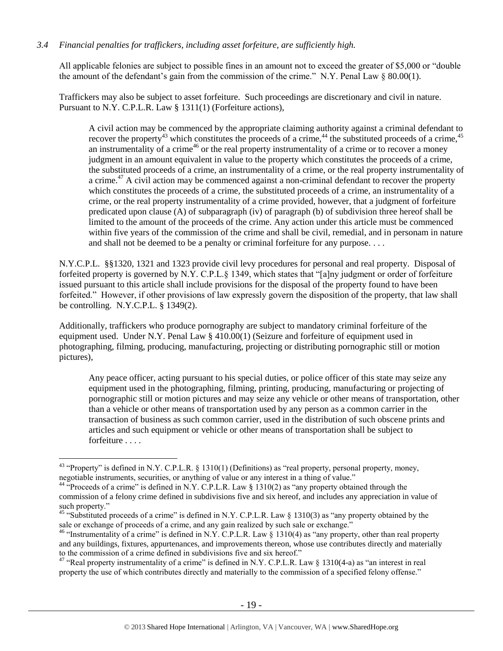# *3.4 Financial penalties for traffickers, including asset forfeiture, are sufficiently high.*

All applicable felonies are subject to possible fines in an amount not to exceed the greater of \$5,000 or "double the amount of the defendant's gain from the commission of the crime." N.Y. Penal Law  $\S$  80.00(1).

Traffickers may also be subject to asset forfeiture. Such proceedings are discretionary and civil in nature. Pursuant to N.Y. C.P.L.R. Law § 1311(1) (Forfeiture actions),

<span id="page-18-4"></span><span id="page-18-3"></span><span id="page-18-2"></span><span id="page-18-1"></span><span id="page-18-0"></span>A civil action may be commenced by the appropriate claiming authority against a criminal defendant to recover the property<sup>43</sup> which constitutes the proceeds of a crime,<sup>44</sup> the substituted proceeds of a crime,<sup>4</sup> an instrumentality of a crime<sup>46</sup> or the real property instrumentality of a crime or to recover a money judgment in an amount equivalent in value to the property which constitutes the proceeds of a crime, the substituted proceeds of a crime, an instrumentality of a crime, or the real property instrumentality of a crime.<sup>47</sup> A civil action may be commenced against a non-criminal defendant to recover the property which constitutes the proceeds of a crime, the substituted proceeds of a crime, an instrumentality of a crime, or the real property instrumentality of a crime provided, however, that a judgment of forfeiture predicated upon clause (A) of subparagraph (iv) of paragraph (b) of subdivision three hereof shall be limited to the amount of the proceeds of the crime. Any action under this article must be commenced within five years of the commission of the crime and shall be civil, remedial, and in personam in nature and shall not be deemed to be a penalty or criminal forfeiture for any purpose. . . .

N.Y.C.P.L. §§1320, 1321 and 1323 provide civil levy procedures for personal and real property. Disposal of forfeited property is governed by N.Y. C.P.L.§ 1349, which states that "[a]ny judgment or order of forfeiture issued pursuant to this article shall include provisions for the disposal of the property found to have been forfeited." However, if other provisions of law expressly govern the disposition of the property, that law shall be controlling. N.Y.C.P.L. § 1349(2).

Additionally, traffickers who produce pornography are subject to mandatory criminal forfeiture of the equipment used. Under N.Y. Penal Law § 410.00(1) (Seizure and forfeiture of equipment used in photographing, filming, producing, manufacturing, projecting or distributing pornographic still or motion pictures),

Any peace officer, acting pursuant to his special duties, or police officer of this state may seize any equipment used in the photographing, filming, printing, producing, manufacturing or projecting of pornographic still or motion pictures and may seize any vehicle or other means of transportation, other than a vehicle or other means of transportation used by any person as a common carrier in the transaction of business as such common carrier, used in the distribution of such obscene prints and articles and such equipment or vehicle or other means of transportation shall be subject to forfeiture . . . .

<sup>&</sup>lt;sup>43</sup> "Property" is defined in N.Y. C.P.L.R. § 1310(1) (Definitions) as "real property, personal property, money, negotiable instruments, securities, or anything of value or any interest in a thing of value."

<sup>&</sup>lt;sup>44</sup> "Proceeds of a crime" is defined in N.Y. C.P.L.R. Law § 1310(2) as "any property obtained through the commission of a felony crime defined in subdivisions five and six hereof, and includes any appreciation in value of such property."

<sup>&</sup>lt;sup>45</sup> "Substituted proceeds of a crime" is defined in N.Y. C.P.L.R. Law § 1310(3) as "any property obtained by the sale or exchange of proceeds of a crime, and any gain realized by such sale or exchange."

<sup>&</sup>lt;sup>46</sup> "Instrumentality of a crime" is defined in N.Y. C.P.L.R. Law  $\S$  1310(4) as "any property, other than real property and any buildings, fixtures, appurtenances, and improvements thereon, whose use contributes directly and materially to the commission of a crime defined in subdivisions five and six hereof."

<sup>&</sup>lt;sup>47</sup> "Real property instrumentality of a crime" is defined in N.Y. C.P.L.R. Law § 1310(4-a) as "an interest in real property the use of which contributes directly and materially to the commission of a specified felony offense."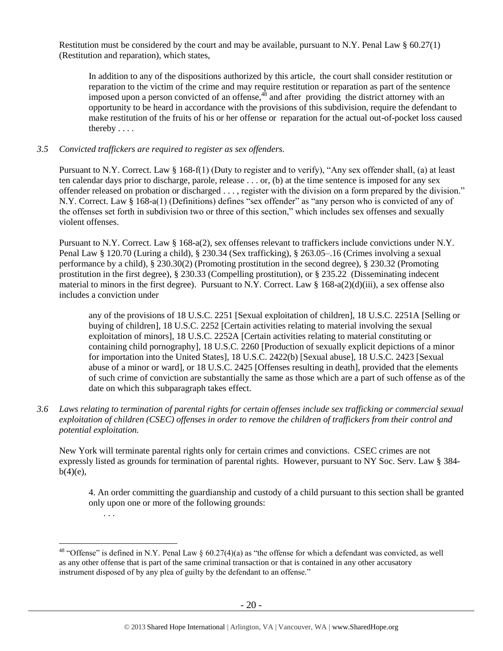Restitution must be considered by the court and may be available, pursuant to N.Y. Penal Law  $\S$  60.27(1) (Restitution and reparation), which states,

<span id="page-19-0"></span>In addition to any of the dispositions authorized by this article, the court shall consider restitution or reparation to the victim of the crime and may require restitution or reparation as part of the sentence imposed upon a person convicted of an offense,  $48$  and after providing the district attorney with an opportunity to be heard in accordance with the provisions of this subdivision, require the defendant to make restitution of the fruits of his or her offense or reparation for the actual out-of-pocket loss caused thereby . . . .

# *3.5 Convicted traffickers are required to register as sex offenders.*

Pursuant to N.Y. Correct. Law § 168-f(1) (Duty to register and to verify), "Any sex offender shall, (a) at least ten calendar days prior to discharge, parole, release . . . or, (b) at the time sentence is imposed for any sex offender released on probation or discharged . . . , register with the division on a form prepared by the division." N.Y. Correct. Law § 168-a(1) (Definitions) defines "sex offender" as "any person who is convicted of any of the offenses set forth in subdivision two or three of this section," which includes sex offenses and sexually violent offenses.

Pursuant to N.Y. Correct. Law § 168-a(2), sex offenses relevant to traffickers include convictions under N.Y. Penal Law § 120.70 (Luring a child), § 230.34 (Sex trafficking), § 263.05–.16 (Crimes involving a sexual performance by a child), § 230.30(2) (Promoting prostitution in the second degree), § 230.32 (Promoting prostitution in the first degree), § 230.33 (Compelling prostitution), or § 235.22 (Disseminating indecent material to minors in the first degree). Pursuant to N.Y. Correct. Law  $\S$  168-a(2)(d)(iii), a sex offense also includes a conviction under

any of the provisions of 18 U.S.C. 2251 [Sexual exploitation of children], 18 U.S.C. 2251A [Selling or buying of children], 18 U.S.C. 2252 [Certain activities relating to material involving the sexual exploitation of minors], 18 U.S.C. 2252A [Certain activities relating to material constituting or containing child pornography], 18 U.S.C. 2260 [Production of sexually explicit depictions of a minor for importation into the United States], 18 U.S.C. 2422(b) [Sexual abuse], 18 U.S.C. 2423 [Sexual abuse of a minor or ward], or 18 U.S.C. 2425 [Offenses resulting in death], provided that the elements of such crime of conviction are substantially the same as those which are a part of such offense as of the date on which this subparagraph takes effect.

*3.6 Laws relating to termination of parental rights for certain offenses include sex trafficking or commercial sexual exploitation of children (CSEC) offenses in order to remove the children of traffickers from their control and potential exploitation.* 

New York will terminate parental rights only for certain crimes and convictions. CSEC crimes are not expressly listed as grounds for termination of parental rights. However, pursuant to NY Soc. Serv. Law § 384  $b(4)(e)$ ,

4. An order committing the guardianship and custody of a child pursuant to this section shall be granted only upon one or more of the following grounds:

<sup>. . .</sup>

<sup>&</sup>lt;sup>48</sup> "Offense" is defined in N.Y. Penal Law §  $60.27(4)(a)$  as "the offense for which a defendant was convicted, as well as any other offense that is part of the same criminal transaction or that is contained in any other accusatory instrument disposed of by any plea of guilty by the defendant to an offense."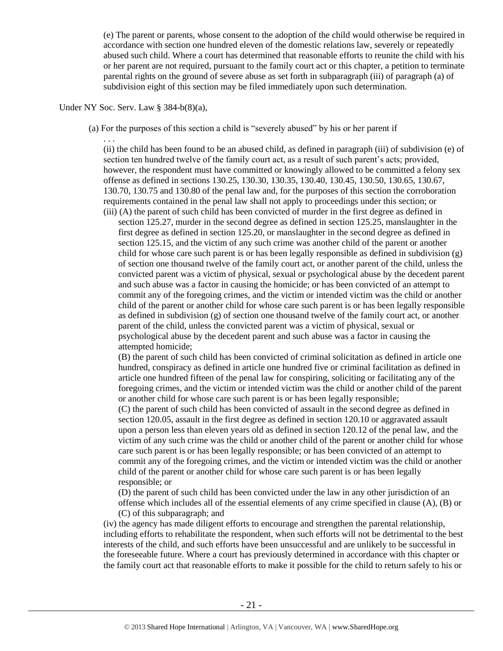(e) The parent or parents, whose consent to the adoption of the child would otherwise be required in accordance with section one hundred eleven of the domestic relations law, severely or repeatedly abused such child. Where a court has determined that reasonable efforts to reunite the child with his or her parent are not required, pursuant to the family court act or this chapter, a petition to terminate parental rights on the ground of severe abuse as set forth in subparagraph (iii) of paragraph (a) of subdivision eight of this section may be filed immediately upon such determination.

Under NY Soc. Serv. Law § 384-b(8)(a),

(a) For the purposes of this section a child is "severely abused" by his or her parent if

. . . (ii) the child has been found to be an abused child, as defined in paragraph (iii) of subdivision (e) of section ten hundred twelve of the family court act, as a result of such parent's acts; provided, however, the respondent must have committed or knowingly allowed to be committed a felony sex offense as defined in sections 130.25, 130.30, 130.35, 130.40, 130.45, 130.50, 130.65, 130.67, 130.70, 130.75 and 130.80 of the penal law and, for the purposes of this section the corroboration requirements contained in the penal law shall not apply to proceedings under this section; or (iii) (A) the parent of such child has been convicted of murder in the first degree as defined in

section 125.27, murder in the second degree as defined in section 125.25, manslaughter in the first degree as defined in section 125.20, or manslaughter in the second degree as defined in section 125.15, and the victim of any such crime was another child of the parent or another child for whose care such parent is or has been legally responsible as defined in subdivision (g) of section one thousand twelve of the family court act, or another parent of the child, unless the convicted parent was a victim of physical, sexual or psychological abuse by the decedent parent and such abuse was a factor in causing the homicide; or has been convicted of an attempt to commit any of the foregoing crimes, and the victim or intended victim was the child or another child of the parent or another child for whose care such parent is or has been legally responsible as defined in subdivision (g) of section one thousand twelve of the family court act, or another parent of the child, unless the convicted parent was a victim of physical, sexual or psychological abuse by the decedent parent and such abuse was a factor in causing the attempted homicide;

(B) the parent of such child has been convicted of criminal solicitation as defined in article one hundred, conspiracy as defined in article one hundred five or criminal facilitation as defined in article one hundred fifteen of the penal law for conspiring, soliciting or facilitating any of the foregoing crimes, and the victim or intended victim was the child or another child of the parent or another child for whose care such parent is or has been legally responsible;

(C) the parent of such child has been convicted of assault in the second degree as defined in section 120.05, assault in the first degree as defined in section 120.10 or aggravated assault upon a person less than eleven years old as defined in [section 120.12 of the penal law,](https://www.lexis.com/research/buttonTFLink?_m=e880d9483f99e364b375ae20ab05207e&_xfercite=%3ccite%20cc%3d%22USA%22%3e%3c%21%5bCDATA%5bNY%20CLS%20Soc%20Serv%20%a7%20384-b%5d%5d%3e%3c%2fcite%3e&_butType=4&_butStat=0&_butNum=6&_butInline=1&_butinfo=NY%20PEN%20120.12&_fmtstr=FULL&docnum=1&_startdoc=1&wchp=dGLbVzV-zSkAz&_md5=dc269850153f9d3d11851ede72a40a24) and the victim of any such crime was the child or another child of the parent or another child for whose care such parent is or has been legally responsible; or has been convicted of an attempt to commit any of the foregoing crimes, and the victim or intended victim was the child or another child of the parent or another child for whose care such parent is or has been legally responsible; or

(D) the parent of such child has been convicted under the law in any other jurisdiction of an offense which includes all of the essential elements of any crime specified in clause (A), (B) or (C) of this subparagraph; and

(iv) the agency has made diligent efforts to encourage and strengthen the parental relationship, including efforts to rehabilitate the respondent, when such efforts will not be detrimental to the best interests of the child, and such efforts have been unsuccessful and are unlikely to be successful in the foreseeable future. Where a court has previously determined in accordance with this chapter or the family court act that reasonable efforts to make it possible for the child to return safely to his or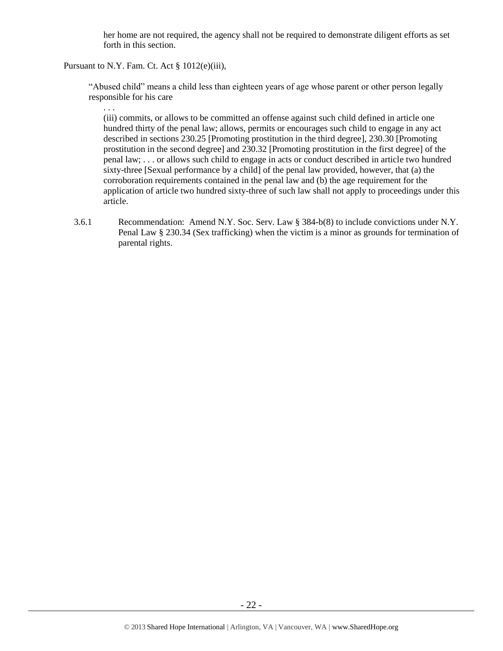her home are not required, the agency shall not be required to demonstrate diligent efforts as set forth in this section.

Pursuant to N.Y. Fam. Ct. Act § 1012(e)(iii),

"Abused child" means a child less than eighteen years of age whose parent or other person legally responsible for his care

. . .

(iii) commits, or allows to be committed an offense against such child defined in article one hundred thirty of the penal law; allows, permits or encourages such child to engage in any act described in sections 230.25 [Promoting prostitution in the third degree], 230.30 [Promoting prostitution in the second degree] and 230.32 [Promoting prostitution in the first degree] of the penal law; . . . or allows such child to engage in acts or conduct described in article two hundred sixty-three [Sexual performance by a child] of the penal law provided, however, that (a) the corroboration requirements contained in the penal law and (b) the age requirement for the application of article two hundred sixty-three of such law shall not apply to proceedings under this article.

3.6.1 Recommendation: Amend N.Y. Soc. Serv. Law § 384-b(8) to include convictions under N.Y. Penal Law § 230.34 (Sex trafficking) when the victim is a minor as grounds for termination of parental rights.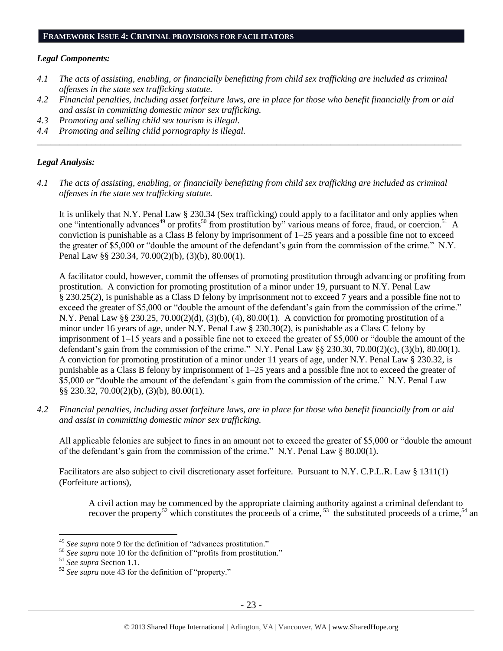#### **FRAMEWORK ISSUE 4: CRIMINAL PROVISIONS FOR FACILITATORS**

#### *Legal Components:*

- *4.1 The acts of assisting, enabling, or financially benefitting from child sex trafficking are included as criminal offenses in the state sex trafficking statute.*
- *4.2 Financial penalties, including asset forfeiture laws, are in place for those who benefit financially from or aid and assist in committing domestic minor sex trafficking.*

*\_\_\_\_\_\_\_\_\_\_\_\_\_\_\_\_\_\_\_\_\_\_\_\_\_\_\_\_\_\_\_\_\_\_\_\_\_\_\_\_\_\_\_\_\_\_\_\_\_\_\_\_\_\_\_\_\_\_\_\_\_\_\_\_\_\_\_\_\_\_\_\_\_\_\_\_\_\_\_\_\_\_\_\_\_\_\_\_\_\_\_\_\_\_*

- *4.3 Promoting and selling child sex tourism is illegal.*
- *4.4 Promoting and selling child pornography is illegal.*

# *Legal Analysis:*

*4.1 The acts of assisting, enabling, or financially benefitting from child sex trafficking are included as criminal offenses in the state sex trafficking statute.*

It is unlikely that N.Y. Penal Law § 230.34 (Sex trafficking) could apply to a facilitator and only applies when one "intentionally advances<sup>49</sup> or profits<sup>50</sup> from prostitution by" various means of force, fraud, or coercion.<sup>51</sup> A conviction is punishable as a Class B felony by imprisonment of 1–25 years and a possible fine not to exceed the greater of \$5,000 or "double the amount of the defendant's gain from the commission of the crime." N.Y. Penal Law §§ 230.34, 70.00(2)(b), (3)(b), 80.00(1).

A facilitator could, however, commit the offenses of promoting prostitution through advancing or profiting from prostitution. A conviction for promoting prostitution of a minor under 19, pursuant to N.Y. Penal Law § 230.25(2), is punishable as a Class D felony by imprisonment not to exceed 7 years and a possible fine not to exceed the greater of \$5,000 or "double the amount of the defendant's gain from the commission of the crime." N.Y. Penal Law §§ 230.25, 70.00(2)(d), (3)(b), (4), 80.00(1). A conviction for promoting prostitution of a minor under 16 years of age, under N.Y. Penal Law § 230.30(2), is punishable as a Class C felony by imprisonment of 1–15 years and a possible fine not to exceed the greater of \$5,000 or "double the amount of the defendant's gain from the commission of the crime." N.Y. Penal Law  $\S$  230.30, 70.00(2)(c), (3)(b), 80.00(1). A conviction for promoting prostitution of a minor under 11 years of age, under N.Y. Penal Law § 230.32, is punishable as a Class B felony by imprisonment of 1–25 years and a possible fine not to exceed the greater of \$5,000 or "double the amount of the defendant's gain from the commission of the crime." N.Y. Penal Law §§ 230.32, 70.00(2)(b), (3)(b), 80.00(1).

*4.2 Financial penalties, including asset forfeiture laws, are in place for those who benefit financially from or aid and assist in committing domestic minor sex trafficking.*

All applicable felonies are subject to fines in an amount not to exceed the greater of \$5,000 or "double the amount of the defendant's gain from the commission of the crime." N.Y. Penal Law § 80.00(1).

Facilitators are also subject to civil discretionary asset forfeiture. Pursuant to N.Y. C.P.L.R. Law § 1311(1) (Forfeiture actions),

A civil action may be commenced by the appropriate claiming authority against a criminal defendant to recover the property<sup>52</sup> which constitutes the proceeds of a crime,  $^{53}$  the substituted proceeds of a crime,  $^{54}$  an

<sup>49</sup> *See supra* note [9](#page-2-1) for the definition of "advances prostitution."

<sup>&</sup>lt;sup>50</sup> See supra note [10](#page-2-2) for the definition of "profits from prostitution."

<sup>51</sup> *See supra* Section 1.1.

<sup>52</sup> *See supra* note [43](#page-18-0) for the definition of "property."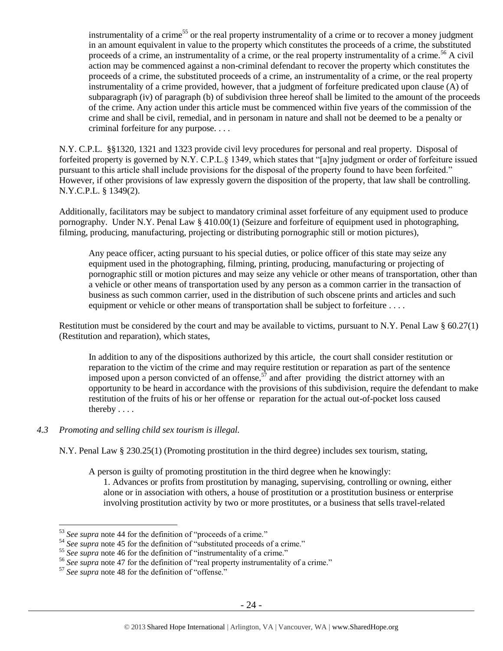instrumentality of a crime<sup>55</sup> or the real property instrumentality of a crime or to recover a money judgment in an amount equivalent in value to the property which constitutes the proceeds of a crime, the substituted proceeds of a crime, an instrumentality of a crime, or the real property instrumentality of a crime.<sup>56</sup> A civil action may be commenced against a non-criminal defendant to recover the property which constitutes the proceeds of a crime, the substituted proceeds of a crime, an instrumentality of a crime, or the real property instrumentality of a crime provided, however, that a judgment of forfeiture predicated upon clause (A) of subparagraph (iv) of paragraph (b) of subdivision three hereof shall be limited to the amount of the proceeds of the crime. Any action under this article must be commenced within five years of the commission of the crime and shall be civil, remedial, and in personam in nature and shall not be deemed to be a penalty or criminal forfeiture for any purpose. . . .

N.Y. C.P.L. §§1320, 1321 and 1323 provide civil levy procedures for personal and real property. Disposal of forfeited property is governed by N.Y. C.P.L.§ 1349, which states that "[a]ny judgment or order of forfeiture issued pursuant to this article shall include provisions for the disposal of the property found to have been forfeited." However, if other provisions of law expressly govern the disposition of the property, that law shall be controlling. N.Y.C.P.L. § 1349(2).

Additionally, facilitators may be subject to mandatory criminal asset forfeiture of any equipment used to produce pornography. Under N.Y. Penal Law § 410.00(1) (Seizure and forfeiture of equipment used in photographing, filming, producing, manufacturing, projecting or distributing pornographic still or motion pictures),

Any peace officer, acting pursuant to his special duties, or police officer of this state may seize any equipment used in the photographing, filming, printing, producing, manufacturing or projecting of pornographic still or motion pictures and may seize any vehicle or other means of transportation, other than a vehicle or other means of transportation used by any person as a common carrier in the transaction of business as such common carrier, used in the distribution of such obscene prints and articles and such equipment or vehicle or other means of transportation shall be subject to forfeiture . . . .

Restitution must be considered by the court and may be available to victims, pursuant to N.Y. Penal Law § 60.27(1) (Restitution and reparation), which states,

In addition to any of the dispositions authorized by this article, the court shall consider restitution or reparation to the victim of the crime and may require restitution or reparation as part of the sentence imposed upon a person convicted of an offense,<sup>57</sup> and after providing the district attorney with an opportunity to be heard in accordance with the provisions of this subdivision, require the defendant to make restitution of the fruits of his or her offense or reparation for the actual out-of-pocket loss caused thereby . . . .

# *4.3 Promoting and selling child sex tourism is illegal.*

N.Y. Penal Law § 230.25(1) (Promoting prostitution in the third degree) includes sex tourism, stating,

A person is guilty of promoting prostitution in the third degree when he knowingly:

1. Advances or profits from prostitution by managing, supervising, controlling or owning, either alone or in association with others, a house of prostitution or a prostitution business or enterprise involving prostitution activity by two or more prostitutes, or a business that sells travel-related

 $\overline{a}$ <sup>53</sup> *See supra* note [44](#page-18-1) for the definition of "proceeds of a crime."

<sup>&</sup>lt;sup>54</sup> See supra note [45](#page-18-2) for the definition of "substituted proceeds of a crime."

<sup>&</sup>lt;sup>55</sup> See supra note [46](#page-18-3) for the definition of "instrumentality of a crime."

<sup>&</sup>lt;sup>56</sup> See supra note [47](#page-18-4) for the definition of "real property instrumentality of a crime."

<sup>57</sup> *See supra* note [48](#page-19-0) for the definition of "offense."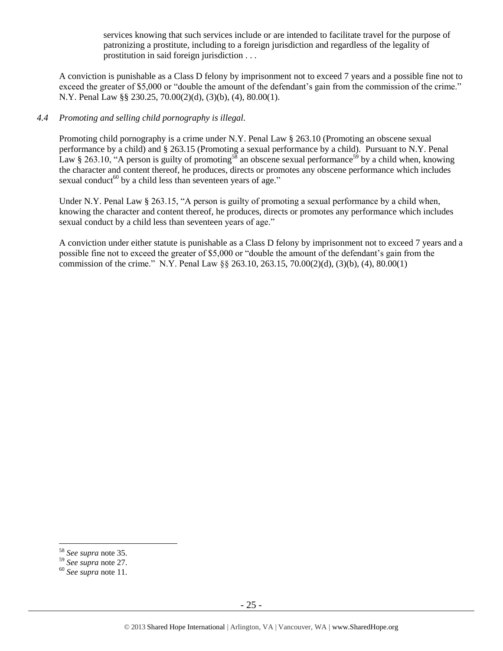services knowing that such services include or are intended to facilitate travel for the purpose of patronizing a prostitute, including to a foreign jurisdiction and regardless of the legality of prostitution in said foreign jurisdiction . . .

A conviction is punishable as a Class D felony by imprisonment not to exceed 7 years and a possible fine not to exceed the greater of \$5,000 or "double the amount of the defendant's gain from the commission of the crime." N.Y. Penal Law §§ 230.25, 70.00(2)(d), (3)(b), (4), 80.00(1).

# *4.4 Promoting and selling child pornography is illegal.*

Promoting child pornography is a crime under N.Y. Penal Law § 263.10 (Promoting an obscene sexual performance by a child) and § 263.15 (Promoting a sexual performance by a child). Pursuant to N.Y. Penal Law § 263.10, "A person is guilty of promoting<sup>58</sup> an obscene sexual performance<sup>59</sup> by a child when, knowing the character and content thereof, he produces, directs or promotes any obscene performance which includes sexual conduct<sup>60</sup> by a child less than seventeen years of age."

Under N.Y. Penal Law § 263.15, "A person is guilty of promoting a sexual performance by a child when, knowing the character and content thereof, he produces, directs or promotes any performance which includes sexual conduct by a child less than seventeen years of age."

A conviction under either statute is punishable as a Class D felony by imprisonment not to exceed 7 years and a possible fine not to exceed the greater of \$5,000 or "double the amount of the defendant's gain from the commission of the crime." N.Y. Penal Law §§ 263.10, 263.15, 70.00(2)(d), (3)(b), (4), 80.00(1)

<sup>58</sup> *See supra* note [35.](#page-16-0)

<sup>59</sup> *See supra* note [27.](#page-13-0)

<sup>60</sup> *See supra* note [11.](#page-3-0)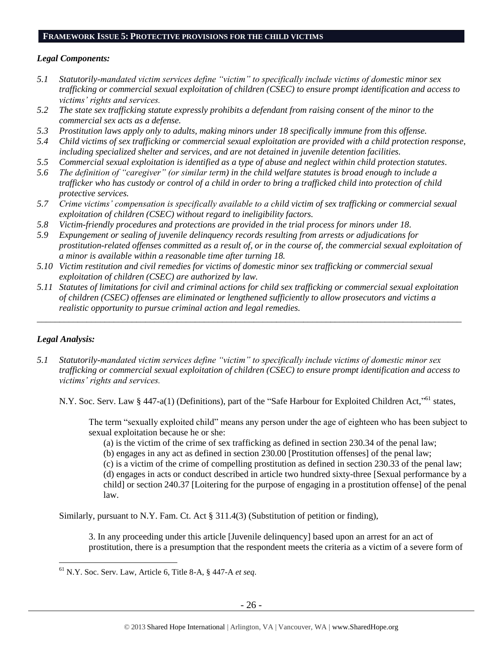#### **FRAMEWORK ISSUE 5: PROTECTIVE PROVISIONS FOR THE CHILD VICTIMS**

# *Legal Components:*

- *5.1 Statutorily-mandated victim services define "victim" to specifically include victims of domestic minor sex trafficking or commercial sexual exploitation of children (CSEC) to ensure prompt identification and access to victims' rights and services.*
- *5.2 The state sex trafficking statute expressly prohibits a defendant from raising consent of the minor to the commercial sex acts as a defense.*
- *5.3 Prostitution laws apply only to adults, making minors under 18 specifically immune from this offense.*
- *5.4 Child victims of sex trafficking or commercial sexual exploitation are provided with a child protection response, including specialized shelter and services, and are not detained in juvenile detention facilities.*
- *5.5 Commercial sexual exploitation is identified as a type of abuse and neglect within child protection statutes.*
- *5.6 The definition of "caregiver" (or similar term) in the child welfare statutes is broad enough to include a trafficker who has custody or control of a child in order to bring a trafficked child into protection of child protective services.*
- *5.7 Crime victims' compensation is specifically available to a child victim of sex trafficking or commercial sexual exploitation of children (CSEC) without regard to ineligibility factors.*
- *5.8 Victim-friendly procedures and protections are provided in the trial process for minors under 18.*
- *5.9 Expungement or sealing of juvenile delinquency records resulting from arrests or adjudications for prostitution-related offenses committed as a result of, or in the course of, the commercial sexual exploitation of a minor is available within a reasonable time after turning 18.*
- *5.10 Victim restitution and civil remedies for victims of domestic minor sex trafficking or commercial sexual exploitation of children (CSEC) are authorized by law.*
- *5.11 Statutes of limitations for civil and criminal actions for child sex trafficking or commercial sexual exploitation of children (CSEC) offenses are eliminated or lengthened sufficiently to allow prosecutors and victims a realistic opportunity to pursue criminal action and legal remedies.*

*\_\_\_\_\_\_\_\_\_\_\_\_\_\_\_\_\_\_\_\_\_\_\_\_\_\_\_\_\_\_\_\_\_\_\_\_\_\_\_\_\_\_\_\_\_\_\_\_\_\_\_\_\_\_\_\_\_\_\_\_\_\_\_\_\_\_\_\_\_\_\_\_\_\_\_\_\_\_\_\_\_\_\_\_\_\_\_\_\_\_\_\_\_\_*

# *Legal Analysis:*

 $\overline{a}$ 

*5.1 Statutorily-mandated victim services define "victim" to specifically include victims of domestic minor sex trafficking or commercial sexual exploitation of children (CSEC) to ensure prompt identification and access to victims' rights and services.* 

N.Y. Soc. Serv. Law § 447-a(1) (Definitions), part of the "Safe Harbour for Exploited Children Act,"<sup>61</sup> states,

The term "sexually exploited child" means any person under the age of eighteen who has been subject to sexual exploitation because he or she:

- (a) is the victim of the crime of sex trafficking as defined in section 230.34 of the penal law;
- (b) engages in any act as defined in section 230.00 [Prostitution offenses] of the penal law;

(c) is a victim of the crime of compelling prostitution as defined in section 230.33 of the penal law; (d) engages in acts or conduct described in article two hundred sixty-three [Sexual performance by a child] or section 240.37 [Loitering for the purpose of engaging in a prostitution offense] of the penal law.

Similarly, pursuant to N.Y. Fam. Ct. Act § 311.4(3) (Substitution of petition or finding),

3. In any proceeding under this article [Juvenile delinquency] based upon an arrest for an act of prostitution, there is a presumption that the respondent meets the criteria as a victim of a severe form of

<sup>61</sup> N.Y. Soc. Serv. Law, Article 6, Title 8-A, § 447-A *et seq*.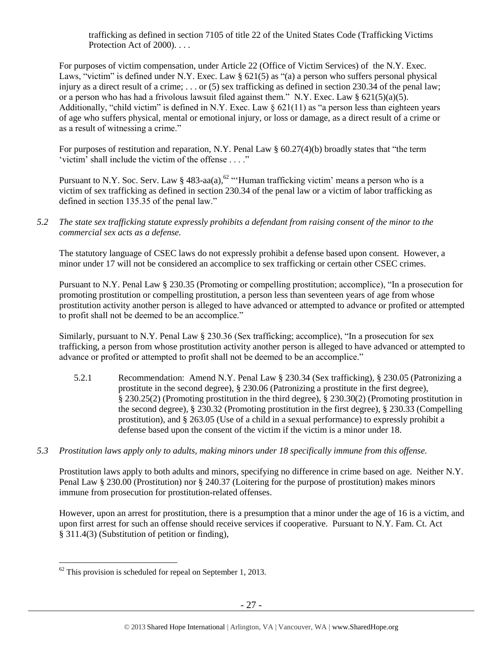trafficking as defined in section 7105 of title 22 of the United States Code (Trafficking Victims Protection Act of 2000). . . .

For purposes of victim compensation, under Article 22 (Office of Victim Services) of the N.Y. Exec. Laws, "victim" is defined under N.Y. Exec. Law § 621(5) as "(a) a person who suffers personal physical injury as a direct result of a crime; . . . or (5) sex trafficking as defined in section 230.34 of the penal law; or a person who has had a frivolous lawsuit filed against them." N.Y. Exec. Law §  $621(5)(a)(5)$ . Additionally, "child victim" is defined in N.Y. Exec. Law § 621(11) as "a person less than eighteen years of age who suffers physical, mental or emotional injury, or loss or damage, as a direct result of a crime or as a result of witnessing a crime."

For purposes of restitution and reparation, N.Y. Penal Law § 60.27(4)(b) broadly states that "the term 'victim' shall include the victim of the offense . . . ."

Pursuant to N.Y. Soc. Serv. Law § 483-aa(a),<sup>62</sup> "Human trafficking victim' means a person who is a victim of sex trafficking as defined in section 230.34 of the penal law or a victim of labor trafficking as defined in section 135.35 of the penal law."

*5.2 The state sex trafficking statute expressly prohibits a defendant from raising consent of the minor to the commercial sex acts as a defense.*

The statutory language of CSEC laws do not expressly prohibit a defense based upon consent. However, a minor under 17 will not be considered an accomplice to sex trafficking or certain other CSEC crimes.

Pursuant to N.Y. Penal Law § 230.35 (Promoting or compelling prostitution; accomplice), "In a prosecution for promoting prostitution or compelling prostitution, a person less than seventeen years of age from whose prostitution activity another person is alleged to have advanced or attempted to advance or profited or attempted to profit shall not be deemed to be an accomplice."

Similarly, pursuant to N.Y. Penal Law § 230.36 (Sex trafficking; accomplice), "In a prosecution for sex trafficking, a person from whose prostitution activity another person is alleged to have advanced or attempted to advance or profited or attempted to profit shall not be deemed to be an accomplice."

- 5.2.1 Recommendation: Amend N.Y. Penal Law § 230.34 (Sex trafficking), § 230.05 (Patronizing a prostitute in the second degree), § 230.06 (Patronizing a prostitute in the first degree), § 230.25(2) (Promoting prostitution in the third degree), § 230.30(2) (Promoting prostitution in the second degree), § 230.32 (Promoting prostitution in the first degree), § 230.33 (Compelling prostitution), and § 263.05 (Use of a child in a sexual performance) to expressly prohibit a defense based upon the consent of the victim if the victim is a minor under 18.
- *5.3 Prostitution laws apply only to adults, making minors under 18 specifically immune from this offense.*

Prostitution laws apply to both adults and minors, specifying no difference in crime based on age. Neither N.Y. Penal Law § 230.00 (Prostitution) nor § 240.37 (Loitering for the purpose of prostitution) makes minors immune from prosecution for prostitution-related offenses.

However, upon an arrest for prostitution, there is a presumption that a minor under the age of 16 is a victim, and upon first arrest for such an offense should receive services if cooperative. Pursuant to N.Y. Fam. Ct. Act § 311.4(3) (Substitution of petition or finding),

 $62$  This provision is scheduled for repeal on September 1, 2013.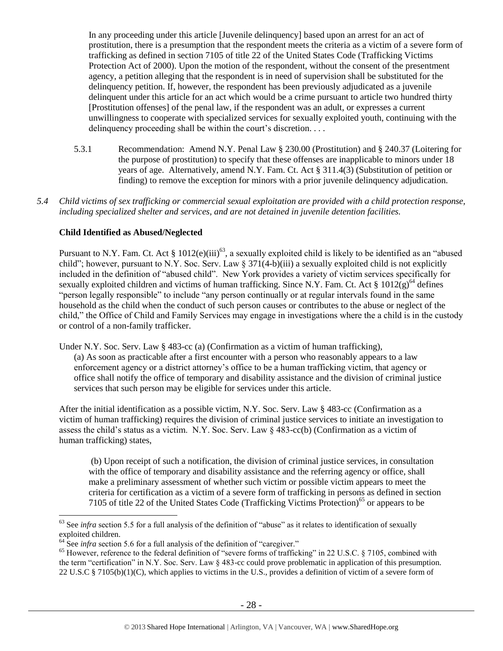In any proceeding under this article [Juvenile delinquency] based upon an arrest for an act of prostitution, there is a presumption that the respondent meets the criteria as a victim of a severe form of trafficking as defined in section 7105 of title 22 of the United States Code (Trafficking Victims Protection Act of 2000). Upon the motion of the respondent, without the consent of the presentment agency, a petition alleging that the respondent is in need of supervision shall be substituted for the delinquency petition. If, however, the respondent has been previously adjudicated as a juvenile delinquent under this article for an act which would be a crime pursuant to article two hundred thirty [Prostitution offenses] of the penal law, if the respondent was an adult, or expresses a current unwillingness to cooperate with specialized services for sexually exploited youth, continuing with the delinquency proceeding shall be within the court's discretion....

- 5.3.1 Recommendation: Amend N.Y. Penal Law § 230.00 (Prostitution) and § 240.37 (Loitering for the purpose of prostitution) to specify that these offenses are inapplicable to minors under 18 years of age. Alternatively, amend N.Y. Fam. Ct. Act § 311.4(3) (Substitution of petition or finding) to remove the exception for minors with a prior juvenile delinquency adjudication.
- *5.4 Child victims of sex trafficking or commercial sexual exploitation are provided with a child protection response, including specialized shelter and services, and are not detained in juvenile detention facilities.*

# **Child Identified as Abused/Neglected**

Pursuant to N.Y. Fam. Ct. Act § 1012(e)(iii)<sup>63</sup>, a sexually exploited child is likely to be identified as an "abused child"; however, pursuant to N.Y. Soc. Serv. Law § 371(4-b)(iii) a sexually exploited child is not explicitly included in the definition of "abused child". New York provides a variety of victim services specifically for sexually exploited children and victims of human trafficking. Since N.Y. Fam. Ct. Act  $\S 1012(g)^{64}$  defines "person legally responsible" to include "any person continually or at regular intervals found in the same household as the child when the conduct of such person causes or contributes to the abuse or neglect of the child," the Office of Child and Family Services may engage in investigations where the a child is in the custody or control of a non-family trafficker.

Under N.Y. Soc. Serv. Law § 483-cc (a) (Confirmation as a victim of human trafficking),

(a) As soon as practicable after a first encounter with a person who reasonably appears to a law enforcement agency or a district attorney's office to be a human trafficking victim, that agency or office shall notify the office of temporary and disability assistance and the division of criminal justice services that such person may be eligible for services under this article.

After the initial identification as a possible victim, N.Y. Soc. Serv. Law § 483-cc (Confirmation as a victim of human trafficking) requires the division of criminal justice services to initiate an investigation to assess the child's status as a victim. N.Y. Soc. Serv. Law § 483-cc(b) (Confirmation as a victim of human trafficking) states,

(b) Upon receipt of such a notification, the division of criminal justice services, in consultation with the office of temporary and disability assistance and the referring agency or office, shall make a preliminary assessment of whether such victim or possible victim appears to meet the criteria for certification as a victim of a severe form of trafficking in persons as defined in section 7105 of title 22 of the United States Code (Trafficking Victims Protection)<sup>65</sup> or appears to be

<sup>&</sup>lt;sup>63</sup> See *infra* section 5.5 for a full analysis of the definition of "abuse" as it relates to identification of sexually exploited children.

 $64$  See *infra* section 5.6 for a full analysis of the definition of "caregiver."

 $^{65}$  However, reference to the federal definition of "severe forms of trafficking" in 22 U.S.C. § 7105, combined with the term "certification" in N.Y. Soc. Serv. Law  $\S$  483-cc could prove problematic in application of this presumption. 22 U.S.C § 7105(b)(1)(C), which applies to victims in the U.S., provides a definition of victim of a severe form of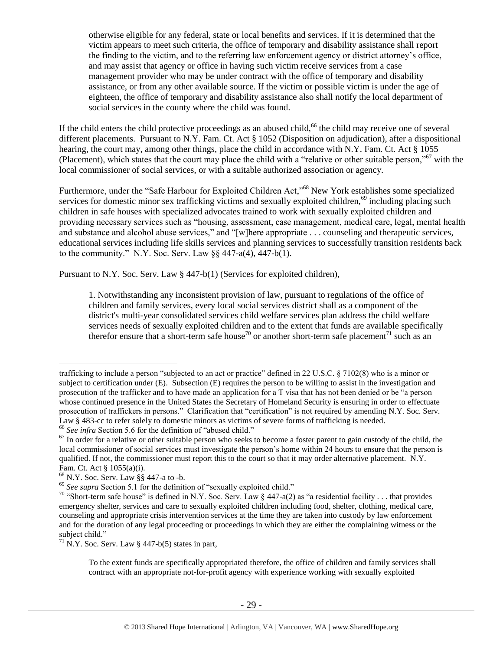otherwise eligible for any federal, state or local benefits and services. If it is determined that the victim appears to meet such criteria, the office of temporary and disability assistance shall report the finding to the victim, and to the referring law enforcement agency or district attorney's office, and may assist that agency or office in having such victim receive services from a case management provider who may be under contract with the office of temporary and disability assistance, or from any other available source. If the victim or possible victim is under the age of eighteen, the office of temporary and disability assistance also shall notify the local department of social services in the county where the child was found.

If the child enters the child protective proceedings as an abused child,<sup>66</sup> the child may receive one of several different placements. Pursuant to N.Y. Fam. Ct. Act § 1052 (Disposition on adjudication), after a dispositional hearing, the court may, among other things, place the child in accordance with N.Y. Fam. Ct. Act § 1055 (Placement), which states that the court may place the child with a "relative or other suitable person,"<sup>67</sup> with the local commissioner of social services, or with a suitable authorized association or agency.

Furthermore, under the "Safe Harbour for Exploited Children Act,"<sup>68</sup> New York establishes some specialized services for domestic minor sex trafficking victims and sexually exploited children,<sup>69</sup> including placing such children in safe houses with specialized advocates trained to work with sexually exploited children and providing necessary services such as "housing, assessment, case management, medical care, legal, mental health and substance and alcohol abuse services," and "[w]here appropriate . . . counseling and therapeutic services, educational services including life skills services and planning services to successfully transition residents back to the community." N.Y. Soc. Serv. Law  $\S$ § 447-a(4), 447-b(1).

Pursuant to N.Y. Soc. Serv. Law § 447-b(1) (Services for exploited children),

1. Notwithstanding any inconsistent provision of law, pursuant to regulations of the office of children and family services, every local social services district shall as a component of the district's multi-year consolidated services child welfare services plan address the child welfare services needs of sexually exploited children and to the extent that funds are available specifically therefor ensure that a short-term safe house<sup>70</sup> or another short-term safe placement<sup>71</sup> such as an

 $\overline{a}$ 

 $71$  N.Y. Soc. Serv. Law § 447-b(5) states in part,

To the extent funds are specifically appropriated therefore, the office of children and family services shall contract with an appropriate not-for-profit agency with experience working with sexually exploited

trafficking to include a person "subjected to an act or practice" defined in 22 U.S.C. § 7102(8) who is a minor or subject to certification under (E). Subsection (E) requires the person to be willing to assist in the investigation and prosecution of the trafficker and to have made an application for a T visa that has not been denied or be "a person whose continued presence in the United States the Secretary of Homeland Security is ensuring in order to effectuate prosecution of traffickers in persons." Clarification that "certification" is not required by amending N.Y. Soc. Serv. Law § 483-cc to refer solely to domestic minors as victims of severe forms of trafficking is needed. <sup>66</sup> See infra Section 5.6 for the definition of "abused child."

 $67$  In order for a relative or other suitable person who seeks to become a foster parent to gain custody of the child, the local commissioner of social services must investigate the person's home within 24 hours to ensure that the person is qualified. If not, the commissioner must report this to the court so that it may order alternative placement. N.Y. Fam. Ct. Act § 1055(a)(i).

<sup>68</sup> N.Y. Soc. Serv. Law §§ 447-a to -b.

<sup>&</sup>lt;sup>69</sup> See supra Section 5.1 for the definition of "sexually exploited child."

<sup>&</sup>lt;sup>70</sup> "Short-term safe house" is defined in N.Y. Soc. Serv. Law § 447-a(2) as "a residential facility . . . that provides emergency shelter, services and care to sexually exploited children including food, shelter, clothing, medical care, counseling and appropriate crisis intervention services at the time they are taken into custody by law enforcement and for the duration of any legal proceeding or proceedings in which they are either the complaining witness or the subject child."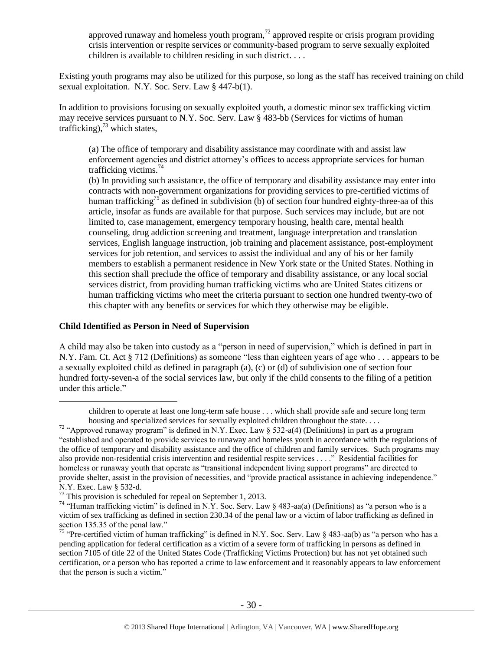approved runaway and homeless youth program,<sup>72</sup> approved respite or crisis program providing crisis intervention or respite services or community-based program to serve sexually exploited children is available to children residing in such district. . . .

Existing youth programs may also be utilized for this purpose, so long as the staff has received training on child sexual exploitation. N.Y. Soc. Serv. Law § 447-b(1).

In addition to provisions focusing on sexually exploited youth, a domestic minor sex trafficking victim may receive services pursuant to N.Y. Soc. Serv. Law § 483-bb (Services for victims of human trafficking), $^{73}$  which states,

(a) The office of temporary and disability assistance may coordinate with and assist law enforcement agencies and district attorney's offices to access appropriate services for human trafficking victims. $74$ 

(b) In providing such assistance, the office of temporary and disability assistance may enter into contracts with non-government organizations for providing services to pre-certified victims of human trafficking<sup>75</sup> as defined in subdivision (b) of section four hundred eighty-three-aa of this article, insofar as funds are available for that purpose. Such services may include, but are not limited to, case management, emergency temporary housing, health care, mental health counseling, drug addiction screening and treatment, language interpretation and translation services, English language instruction, job training and placement assistance, post-employment services for job retention, and services to assist the individual and any of his or her family members to establish a permanent residence in New York state or the United States. Nothing in this section shall preclude the office of temporary and disability assistance, or any local social services district, from providing human trafficking victims who are United States citizens or human trafficking victims who meet the criteria pursuant to section one hundred twenty-two of this chapter with any benefits or services for which they otherwise may be eligible.

# **Child Identified as Person in Need of Supervision**

 $\overline{a}$ 

A child may also be taken into custody as a "person in need of supervision," which is defined in part in N.Y. Fam. Ct. Act § 712 (Definitions) as someone "less than eighteen years of age who . . . appears to be a sexually exploited child as defined in paragraph (a), (c) or (d) of subdivision one of section four hundred forty-seven-a of the social services law, but only if the child consents to the filing of a petition under this article."

children to operate at least one long-term safe house . . . which shall provide safe and secure long term housing and specialized services for sexually exploited children throughout the state....

<sup>72</sup> "Approved runaway program" is defined in N.Y. Exec. Law § 532-a(4) (Definitions) in part as a program "established and operated to provide services to runaway and homeless youth in accordance with the regulations of the office of temporary and disability assistance and the office of children and family services. Such programs may also provide non-residential crisis intervention and residential respite services . . . ." Residential facilities for homeless or runaway youth that operate as "transitional independent living support programs" are directed to provide shelter, assist in the provision of necessities, and "provide practical assistance in achieving independence." N.Y. Exec. Law § 532-d.

 $73$  This provision is scheduled for repeal on September 1, 2013.

<sup>74</sup> "Human trafficking victim" is defined in N.Y. Soc. Serv. Law § 483-aa(a) (Definitions) as "a person who is a victim of sex trafficking as defined in section 230.34 of the penal law or a victim of labor trafficking as defined in section 135.35 of the penal law."

<sup>&</sup>lt;sup>75</sup> "Pre-certified victim of human trafficking" is defined in N.Y. Soc. Serv. Law § 483-aa(b) as "a person who has a pending application for federal certification as a victim of a severe form of trafficking in persons as defined in section 7105 of title 22 of the United States Code (Trafficking Victims Protection) but has not yet obtained such certification, or a person who has reported a crime to law enforcement and it reasonably appears to law enforcement that the person is such a victim."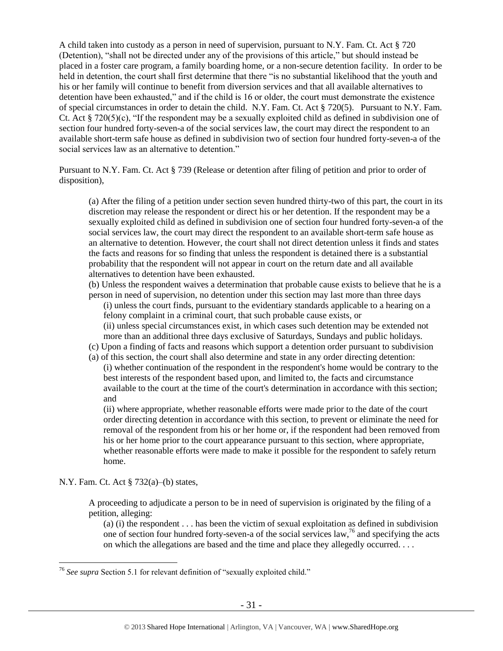A child taken into custody as a person in need of supervision, pursuant to N.Y. Fam. Ct. Act § 720 (Detention), "shall not be directed under any of the provisions of this article," but should instead be placed in a foster care program, a family boarding home, or a non-secure detention facility. In order to be held in detention, the court shall first determine that there "is no substantial likelihood that the youth and his or her family will continue to benefit from diversion services and that all available alternatives to detention have been exhausted," and if the child is 16 or older, the court must demonstrate the existence of special circumstances in order to detain the child. N.Y. Fam. Ct. Act § 720(5). Pursuant to N.Y. Fam. Ct. Act § 720(5)(c), "If the respondent may be a sexually exploited child as defined in subdivision one of section four hundred forty-seven-a of the social services law, the court may direct the respondent to an available short-term safe house as defined in subdivision two of section four hundred forty-seven-a of the social services law as an alternative to detention."

Pursuant to N.Y. Fam. Ct. Act § 739 (Release or detention after filing of petition and prior to order of disposition),

(a) After the filing of a petition under section seven hundred thirty-two of this part, the court in its discretion may release the respondent or direct his or her detention. If the respondent may be a sexually exploited child as defined in subdivision one of section four hundred forty-seven-a of the social services law, the court may direct the respondent to an available short-term safe house as an alternative to detention. However, the court shall not direct detention unless it finds and states the facts and reasons for so finding that unless the respondent is detained there is a substantial probability that the respondent will not appear in court on the return date and all available alternatives to detention have been exhausted.

(b) Unless the respondent waives a determination that probable cause exists to believe that he is a person in need of supervision, no detention under this section may last more than three days

- (i) unless the court finds, pursuant to the evidentiary standards applicable to a hearing on a felony complaint in a criminal court, that such probable cause exists, or (ii) unless special circumstances exist, in which cases such detention may be extended not
- more than an additional three days exclusive of Saturdays, Sundays and public holidays.
- (c) Upon a finding of facts and reasons which support a detention order pursuant to subdivision
- (a) of this section, the court shall also determine and state in any order directing detention: (i) whether continuation of the respondent in the respondent's home would be contrary to the best interests of the respondent based upon, and limited to, the facts and circumstance available to the court at the time of the court's determination in accordance with this section; and

(ii) where appropriate, whether reasonable efforts were made prior to the date of the court order directing detention in accordance with this section, to prevent or eliminate the need for removal of the respondent from his or her home or, if the respondent had been removed from his or her home prior to the court appearance pursuant to this section, where appropriate, whether reasonable efforts were made to make it possible for the respondent to safely return home.

#### N.Y. Fam. Ct. Act § 732(a)–(b) states,

 $\overline{a}$ 

A proceeding to adjudicate a person to be in need of supervision is originated by the filing of a petition, alleging:

(a) (i) the respondent . . . has been the victim of sexual exploitation as defined in subdivision one of section four hundred forty-seven-a of the social services law,  $\frac{76}{10}$  and specifying the acts on which the allegations are based and the time and place they allegedly occurred. . . .

<sup>76</sup> *See supra* Section 5.1 for relevant definition of "sexually exploited child."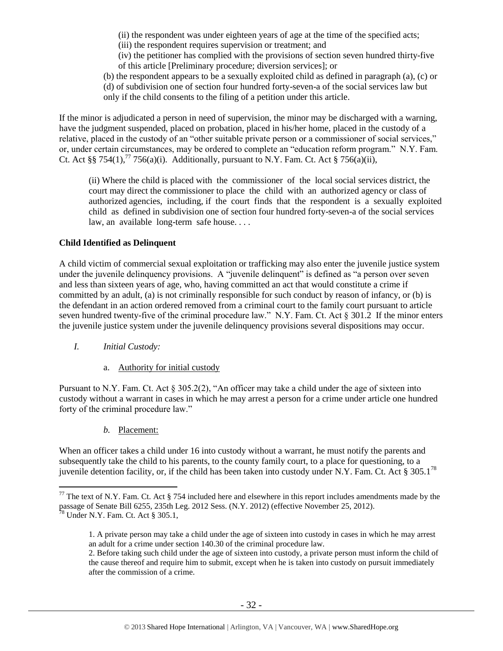(ii) the respondent was under eighteen years of age at the time of the specified acts;

(iii) the respondent requires supervision or treatment; and

(iv) the petitioner has complied with the provisions of section seven hundred thirty-five of this article [Preliminary procedure; diversion services]; or

(b) the respondent appears to be a sexually exploited child as defined in paragraph (a), (c) or (d) of subdivision one of section four hundred forty-seven-a of the social services law but only if the child consents to the filing of a petition under this article.

If the minor is adjudicated a person in need of supervision, the minor may be discharged with a warning, have the judgment suspended, placed on probation, placed in his/her home, placed in the custody of a relative, placed in the custody of an "other suitable private person or a commissioner of social services," or, under certain circumstances, may be ordered to complete an "education reform program." N.Y. Fam. Ct. Act §§ 754(1),<sup>77</sup> 756(a)(i). Additionally, pursuant to N.Y. Fam. Ct. Act § 756(a)(ii),

(ii) Where the child is placed with the commissioner of the local social services district, the court may direct the commissioner to place the child with an authorized agency or class of authorized agencies, including, if the court finds that the respondent is a sexually exploited child as defined in subdivision one of section four hundred forty-seven-a of the social services law, an available long-term safe house. . . .

# **Child Identified as Delinquent**

A child victim of commercial sexual exploitation or trafficking may also enter the juvenile justice system under the juvenile delinquency provisions. A "juvenile delinquent" is defined as "a person over seven and less than sixteen years of age, who, having committed an act that would constitute a crime if committed by an adult, (a) is not criminally responsible for such conduct by reason of infancy, or (b) is the defendant in an action ordered removed from a criminal court to the family court pursuant to article seven hundred twenty-five of the criminal procedure law." N.Y. Fam. Ct. Act § 301.2 If the minor enters the juvenile justice system under the juvenile delinquency provisions several dispositions may occur.

- *I. Initial Custody:* 
	- a. Authority for initial custody

Pursuant to N.Y. Fam. Ct. Act  $\S 305.2(2)$ , "An officer may take a child under the age of sixteen into custody without a warrant in cases in which he may arrest a person for a crime under article one hundred forty of the criminal procedure law."

*b.* Placement:

 $\overline{a}$ 

When an officer takes a child under 16 into custody without a warrant, he must notify the parents and subsequently take the child to his parents, to the county family court, to a place for questioning, to a juvenile detention facility, or, if the child has been taken into custody under N.Y. Fam. Ct. Act  $\S 305.1^{78}$ 

 $77$  The text of N.Y. Fam. Ct. Act § 754 included here and elsewhere in this report includes amendments made by the passage of Senate Bill 6255, 235th Leg. 2012 Sess. (N.Y. 2012) (effective November 25, 2012).  $78$  Under N.Y. Fam. Ct. Act § 305.1,

<sup>1.</sup> A private person may take a child under the age of sixteen into custody in cases in which he may arrest an adult for a crime under section 140.30 of the criminal procedure law.

<sup>2.</sup> Before taking such child under the age of sixteen into custody, a private person must inform the child of the cause thereof and require him to submit, except when he is taken into custody on pursuit immediately after the commission of a crime.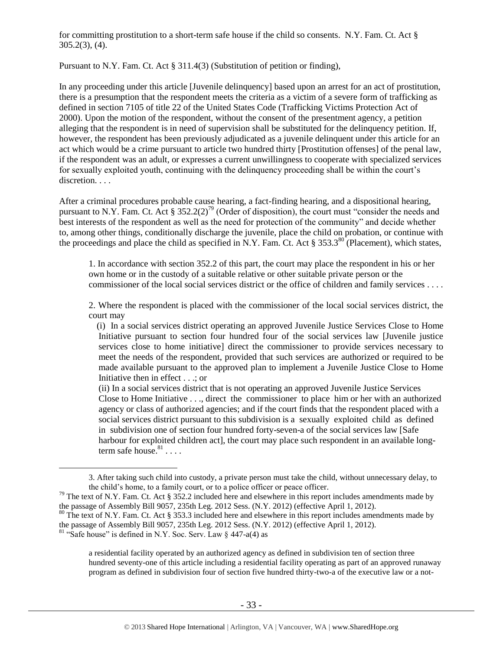for committing prostitution to a short-term safe house if the child so consents. N.Y. Fam. Ct. Act § 305.2(3), (4).

Pursuant to N.Y. Fam. Ct. Act § 311.4(3) (Substitution of petition or finding),

In any proceeding under this article [Juvenile delinquency] based upon an arrest for an act of prostitution, there is a presumption that the respondent meets the criteria as a victim of a severe form of trafficking as defined in section 7105 of title 22 of the United States Code (Trafficking Victims Protection Act of 2000). Upon the motion of the respondent, without the consent of the presentment agency, a petition alleging that the respondent is in need of supervision shall be substituted for the delinquency petition. If, however, the respondent has been previously adjudicated as a juvenile delinquent under this article for an act which would be a crime pursuant to article two hundred thirty [Prostitution offenses] of the penal law, if the respondent was an adult, or expresses a current unwillingness to cooperate with specialized services for sexually exploited youth, continuing with the delinquency proceeding shall be within the court's discretion. . . .

After a criminal procedures probable cause hearing, a fact-finding hearing, and a dispositional hearing, pursuant to N.Y. Fam. Ct. Act  $\S 352.2(2)^{79}$  (Order of disposition), the court must "consider the needs and best interests of the respondent as well as the need for protection of the community" and decide whether to, among other things, conditionally discharge the juvenile, place the child on probation, or continue with the proceedings and place the child as specified in N.Y. Fam. Ct. Act § 353.3<sup>80</sup> (Placement), which states,

1. In accordance with section 352.2 of this part, the court may place the respondent in his or her own home or in the custody of a suitable relative or other suitable private person or the commissioner of the local social services district or the office of children and family services . . . .

2. Where the respondent is placed with the commissioner of the local social services district, the court may

(i) In a social services district operating an approved Juvenile Justice Services Close to Home Initiative pursuant to section four hundred four of the social services law [Juvenile justice services close to home initiative] direct the commissioner to provide services necessary to meet the needs of the respondent, provided that such services are authorized or required to be made available pursuant to the approved plan to implement a Juvenile Justice Close to Home Initiative then in effect . . .; or

(ii) In a social services district that is not operating an approved Juvenile Justice Services Close to Home Initiative . . ., direct the commissioner to place him or her with an authorized agency or class of authorized agencies; and if the court finds that the respondent placed with a social services district pursuant to this subdivision is a sexually exploited child as defined in subdivision one of section four hundred forty-seven-a of the social services law [Safe harbour for exploited children act), the court may place such respondent in an available longterm safe house.<sup>81</sup>...

<sup>3.</sup> After taking such child into custody, a private person must take the child, without unnecessary delay, to the child's home, to a family court, or to a police officer or peace officer.

 $79$  The text of N.Y. Fam. Ct. Act § 352.2 included here and elsewhere in this report includes amendments made by the passage of Assembly Bill 9057, 235th Leg. 2012 Sess. (N.Y. 2012) (effective April 1, 2012).

<sup>&</sup>lt;sup>80</sup> The text of N.Y. Fam. Ct. Act § 353.3 included here and elsewhere in this report includes amendments made by the passage of Assembly Bill 9057, 235th Leg. 2012 Sess. (N.Y. 2012) (effective April 1, 2012). <sup>81</sup> "Safe house" is defined in N.Y. Soc. Serv. Law  $\S$  447-a(4) as

a residential facility operated by an authorized agency as defined in subdivision ten of section three hundred seventy-one of this article including a residential facility operating as part of an approved runaway program as defined in subdivision four of section five hundred thirty-two-a of the executive law or a not-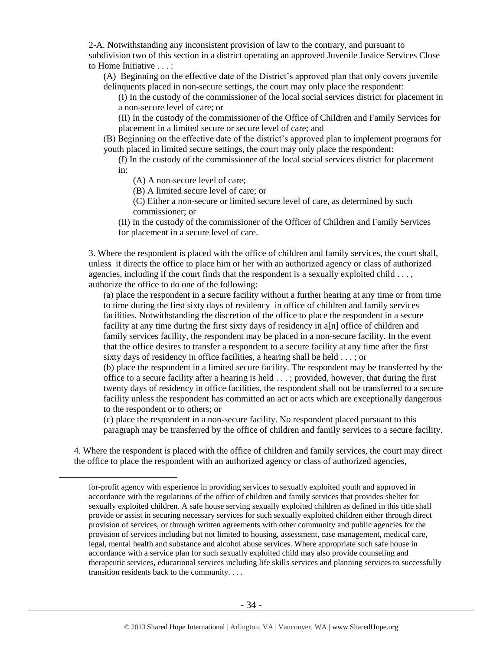2-A. Notwithstanding any inconsistent provision of law to the contrary, and pursuant to subdivision two of this section in a district operating an approved Juvenile Justice Services Close to Home Initiative . . . :

(A) Beginning on the effective date of the District's approved plan that only covers juvenile delinquents placed in non-secure settings, the court may only place the respondent:

(I) In the custody of the commissioner of the local social services district for placement in a non-secure level of care; or

(II) In the custody of the commissioner of the Office of Children and Family Services for placement in a limited secure or secure level of care; and

(B) Beginning on the effective date of the district's approved plan to implement programs for youth placed in limited secure settings, the court may only place the respondent:

(I) In the custody of the commissioner of the local social services district for placement in:

(A) A non-secure level of care;

 $\overline{a}$ 

(B) A limited secure level of care; or

(C) Either a non-secure or limited secure level of care, as determined by such commissioner; or

(II) In the custody of the commissioner of the Officer of Children and Family Services for placement in a secure level of care.

3. Where the respondent is placed with the office of children and family services, the court shall, unless it directs the office to place him or her with an authorized agency or class of authorized agencies, including if the court finds that the respondent is a sexually exploited child . . . , authorize the office to do one of the following:

(a) place the respondent in a secure facility without a further hearing at any time or from time to time during the first sixty days of residency in office of children and family services facilities. Notwithstanding the discretion of the office to place the respondent in a secure facility at any time during the first sixty days of residency in a[n] office of children and family services facility, the respondent may be placed in a non-secure facility. In the event that the office desires to transfer a respondent to a secure facility at any time after the first sixty days of residency in office facilities, a hearing shall be held . . . ; or

(b) place the respondent in a limited secure facility. The respondent may be transferred by the office to a secure facility after a hearing is held . . . ; provided, however, that during the first twenty days of residency in office facilities, the respondent shall not be transferred to a secure facility unless the respondent has committed an act or acts which are exceptionally dangerous to the respondent or to others; or

(c) place the respondent in a non-secure facility. No respondent placed pursuant to this paragraph may be transferred by the office of children and family services to a secure facility.

4. Where the respondent is placed with the office of children and family services, the court may direct the office to place the respondent with an authorized agency or class of authorized agencies,

for-profit agency with experience in providing services to sexually exploited youth and approved in accordance with the regulations of the office of children and family services that provides shelter for sexually exploited children. A safe house serving sexually exploited children as defined in this title shall provide or assist in securing necessary services for such sexually exploited children either through direct provision of services, or through written agreements with other community and public agencies for the provision of services including but not limited to housing, assessment, case management, medical care, legal, mental health and substance and alcohol abuse services. Where appropriate such safe house in accordance with a service plan for such sexually exploited child may also provide counseling and therapeutic services, educational services including life skills services and planning services to successfully transition residents back to the community. . . .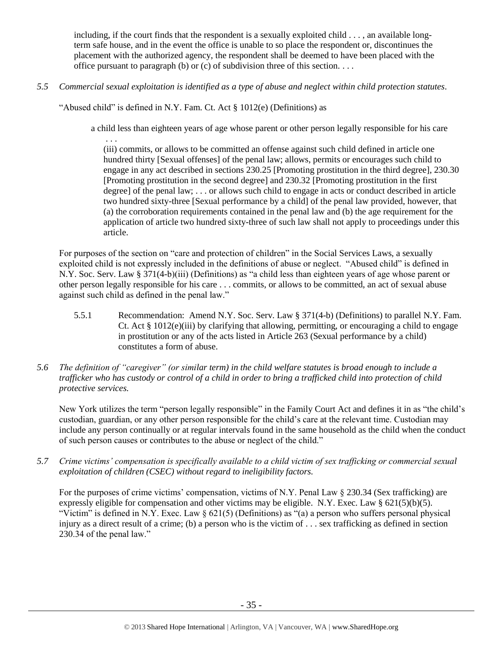including, if the court finds that the respondent is a sexually exploited child  $\dots$ , an available longterm safe house, and in the event the office is unable to so place the respondent or, discontinues the placement with the authorized agency, the respondent shall be deemed to have been placed with the office pursuant to paragraph (b) or (c) of subdivision three of this section.  $\dots$ 

# *5.5 Commercial sexual exploitation is identified as a type of abuse and neglect within child protection statutes.*

"Abused child" is defined in N.Y. Fam. Ct. Act § 1012(e) (Definitions) as

a child less than eighteen years of age whose parent or other person legally responsible for his care

. . . (iii) commits, or allows to be committed an offense against such child defined in article one hundred thirty [Sexual offenses] of the penal law; allows, permits or encourages such child to engage in any act described in sections 230.25 [Promoting prostitution in the third degree], 230.30 [Promoting prostitution in the second degree] and 230.32 [Promoting prostitution in the first degree] of the penal law; . . . or allows such child to engage in acts or conduct described in article two hundred sixty-three [Sexual performance by a child] of the penal law provided, however, that (a) the corroboration requirements contained in the penal law and (b) the age requirement for the application of article two hundred sixty-three of such law shall not apply to proceedings under this article.

For purposes of the section on "care and protection of children" in the Social Services Laws, a sexually exploited child is not expressly included in the definitions of abuse or neglect. "Abused child" is defined in N.Y. Soc. Serv. Law § 371(4-b)(iii) (Definitions) as "a child less than eighteen years of age whose parent or other person legally responsible for his care . . . commits, or allows to be committed, an act of sexual abuse against such child as defined in the penal law."

- 5.5.1 Recommendation: Amend N.Y. Soc. Serv. Law § 371(4-b) (Definitions) to parallel N.Y. Fam. Ct. Act  $\S 1012(e)(iii)$  by clarifying that allowing, permitting, or encouraging a child to engage in prostitution or any of the acts listed in Article 263 (Sexual performance by a child) constitutes a form of abuse.
- *5.6 The definition of "caregiver" (or similar term) in the child welfare statutes is broad enough to include a trafficker who has custody or control of a child in order to bring a trafficked child into protection of child protective services.*

New York utilizes the term "person legally responsible" in the Family Court Act and defines it in as "the child's custodian, guardian, or any other person responsible for the child's care at the relevant time. Custodian may include any person continually or at regular intervals found in the same household as the child when the conduct of such person causes or contributes to the abuse or neglect of the child."

*5.7 Crime victims' compensation is specifically available to a child victim of sex trafficking or commercial sexual exploitation of children (CSEC) without regard to ineligibility factors.*

For the purposes of crime victims' compensation, victims of N.Y. Penal Law § 230.34 (Sex trafficking) are expressly eligible for compensation and other victims may be eligible. N.Y. Exec. Law  $\S 621(5)(b)(5)$ . "Victim" is defined in N.Y. Exec. Law  $\S 621(5)$  (Definitions) as "(a) a person who suffers personal physical injury as a direct result of a crime; (b) a person who is the victim of . . . sex trafficking as defined in section 230.34 of the penal law."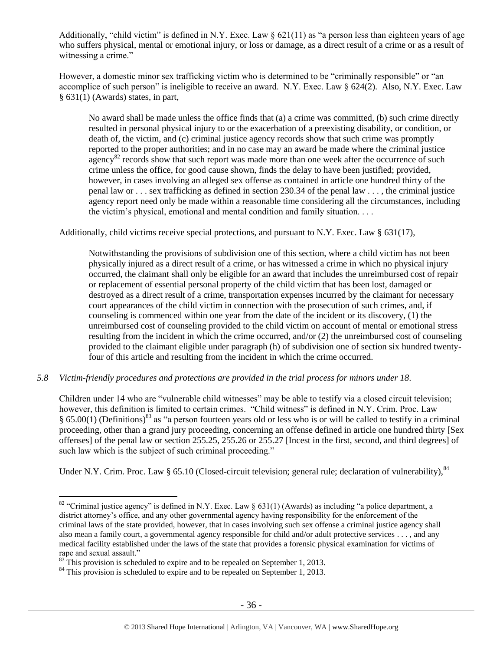Additionally, "child victim" is defined in N.Y. Exec. Law  $\S 621(11)$  as "a person less than eighteen years of age who suffers physical, mental or emotional injury, or loss or damage, as a direct result of a crime or as a result of witnessing a crime."

However, a domestic minor sex trafficking victim who is determined to be "criminally responsible" or "an accomplice of such person" is ineligible to receive an award. N.Y. Exec. Law § 624(2). Also, N.Y. Exec. Law § 631(1) (Awards) states, in part,

No award shall be made unless the office finds that (a) a crime was committed, (b) such crime directly resulted in personal physical injury to or the exacerbation of a preexisting disability, or condition, or death of, the victim, and (c) criminal justice agency records show that such crime was promptly reported to the proper authorities; and in no case may an award be made where the criminal justice agency<sup>82</sup> records show that such report was made more than one week after the occurrence of such crime unless the office, for good cause shown, finds the delay to have been justified; provided, however, in cases involving an alleged sex offense as contained in article one hundred thirty of the penal law or . . . sex trafficking as defined in section 230.34 of the penal law . . . , the criminal justice agency report need only be made within a reasonable time considering all the circumstances, including the victim's physical, emotional and mental condition and family situation. . . .

Additionally, child victims receive special protections, and pursuant to N.Y. Exec. Law § 631(17),

Notwithstanding the provisions of subdivision one of this section, where a child victim has not been physically injured as a direct result of a crime, or has witnessed a crime in which no physical injury occurred, the claimant shall only be eligible for an award that includes the unreimbursed cost of repair or replacement of essential personal property of the child victim that has been lost, damaged or destroyed as a direct result of a crime, transportation expenses incurred by the claimant for necessary court appearances of the child victim in connection with the prosecution of such crimes, and, if counseling is commenced within one year from the date of the incident or its discovery, (1) the unreimbursed cost of counseling provided to the child victim on account of mental or emotional stress resulting from the incident in which the crime occurred, and/or (2) the unreimbursed cost of counseling provided to the claimant eligible under paragraph (h) of subdivision one of section six hundred twentyfour of this article and resulting from the incident in which the crime occurred.

*5.8 Victim-friendly procedures and protections are provided in the trial process for minors under 18.*

Children under 14 who are "vulnerable child witnesses" may be able to testify via a closed circuit television; however, this definition is limited to certain crimes. "Child witness" is defined in N.Y. Crim. Proc. Law  $\S$  65.00(1) (Definitions)<sup>83</sup> as "a person fourteen years old or less who is or will be called to testify in a criminal proceeding, other than a grand jury proceeding, concerning an offense defined in article one hundred thirty [Sex offenses] of the penal law or section 255.25, 255.26 or 255.27 [Incest in the first, second, and third degrees] of such law which is the subject of such criminal proceeding."

Under N.Y. Crim. Proc. Law § 65.10 (Closed-circuit television; general rule; declaration of vulnerability),  $84$ 

<sup>&</sup>lt;sup>82</sup> "Criminal justice agency" is defined in N.Y. Exec. Law § 631(1) (Awards) as including "a police department, a district attorney's office, and any other governmental agency having responsibility for the enforcement of the criminal laws of the state provided, however, that in cases involving such sex offense a criminal justice agency shall also mean a family court, a governmental agency responsible for child and/or adult protective services . . . , and any medical facility established under the laws of the state that provides a forensic physical examination for victims of rape and sexual assault."

 $83$ <sup>3</sup>This provision is scheduled to expire and to be repealed on September 1, 2013.

 $84$  This provision is scheduled to expire and to be repealed on September 1, 2013.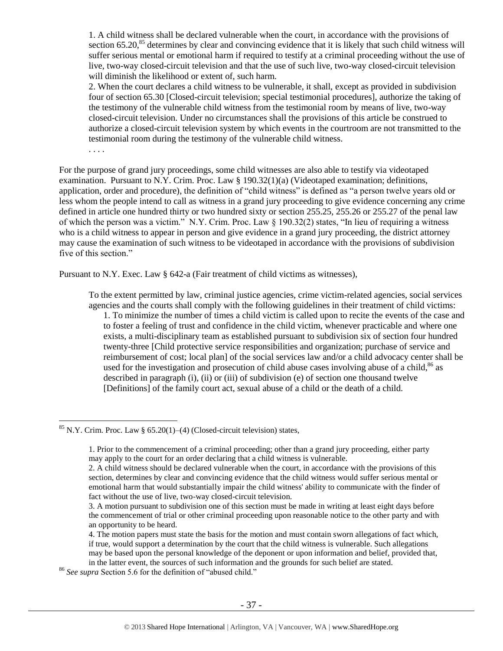1. A child witness shall be declared vulnerable when the court, in accordance with the provisions of section  $65.20$ ,  $85$  determines by clear and convincing evidence that it is likely that such child witness will suffer serious mental or emotional harm if required to testify at a criminal proceeding without the use of live, two-way closed-circuit television and that the use of such live, two-way closed-circuit television will diminish the likelihood or extent of, such harm.

2. When the court declares a child witness to be vulnerable, it shall, except as provided in subdivision four of section 65.30 [Closed-circuit television; special testimonial procedures], authorize the taking of the testimony of the vulnerable child witness from the testimonial room by means of live, two-way closed-circuit television. Under no circumstances shall the provisions of this article be construed to authorize a closed-circuit television system by which events in the courtroom are not transmitted to the testimonial room during the testimony of the vulnerable child witness.

. . . .

For the purpose of grand jury proceedings, some child witnesses are also able to testify via videotaped examination. Pursuant to N.Y. Crim. Proc. Law § 190.32(1)(a) (Videotaped examination; definitions, application, order and procedure), the definition of "child witness" is defined as "a person twelve years old or less whom the people intend to call as witness in a grand jury proceeding to give evidence concerning any crime defined in article one hundred thirty or two hundred sixty or section 255.25, 255.26 or 255.27 of the penal law of which the person was a victim." N.Y. Crim. Proc. Law § 190.32(2) states, "In lieu of requiring a witness who is a child witness to appear in person and give evidence in a grand jury proceeding, the district attorney may cause the examination of such witness to be videotaped in accordance with the provisions of subdivision five of this section."

Pursuant to N.Y. Exec. Law § 642-a (Fair treatment of child victims as witnesses),

To the extent permitted by law, criminal justice agencies, crime victim-related agencies, social services agencies and the courts shall comply with the following guidelines in their treatment of child victims:

1. To minimize the number of times a child victim is called upon to recite the events of the case and to foster a feeling of trust and confidence in the child victim, whenever practicable and where one exists, a multi-disciplinary team as established pursuant to subdivision six of section four hundred twenty-three [Child protective service responsibilities and organization; purchase of service and reimbursement of cost; local plan] of the social services law and/or a child advocacy center shall be used for the investigation and prosecution of child abuse cases involving abuse of a child,<sup>86</sup> as described in paragraph (i), (ii) or (iii) of subdivision (e) of section one thousand twelve [Definitions] of the family court act, sexual abuse of a child or the death of a child.

<sup>86</sup> *See supra* Section 5.6 for the definition of "abused child."

 $\overline{a}$  $85$  N.Y. Crim. Proc. Law § 65.20(1)–(4) (Closed-circuit television) states,

<sup>1.</sup> Prior to the commencement of a criminal proceeding; other than a grand jury proceeding, either party may apply to the court for an order declaring that a child witness is vulnerable.

<sup>2.</sup> A child witness should be declared vulnerable when the court, in accordance with the provisions of this section, determines by clear and convincing evidence that the child witness would suffer serious mental or emotional harm that would substantially impair the child witness' ability to communicate with the finder of fact without the use of live, two-way closed-circuit television.

<sup>3.</sup> A motion pursuant to subdivision one of this section must be made in writing at least eight days before the commencement of trial or other criminal proceeding upon reasonable notice to the other party and with an opportunity to be heard.

<sup>4.</sup> The motion papers must state the basis for the motion and must contain sworn allegations of fact which, if true, would support a determination by the court that the child witness is vulnerable. Such allegations may be based upon the personal knowledge of the deponent or upon information and belief, provided that, in the latter event, the sources of such information and the grounds for such belief are stated.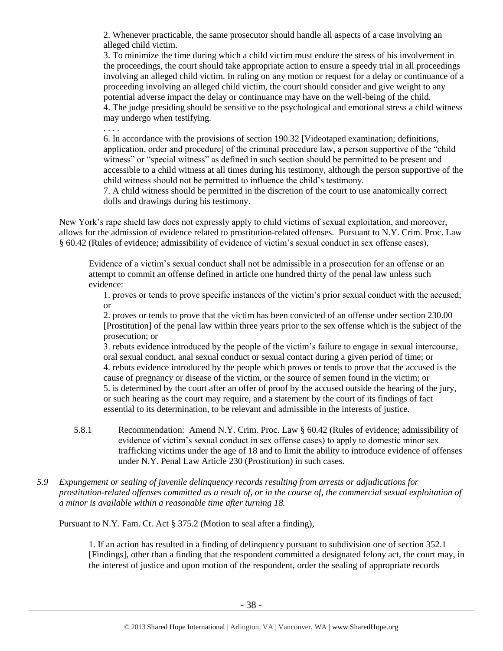2. Whenever practicable, the same prosecutor should handle all aspects of a case involving an alleged child victim.

3. To minimize the time during which a child victim must endure the stress of his involvement in the proceedings, the court should take appropriate action to ensure a speedy trial in all proceedings involving an alleged child victim. In ruling on any motion or request for a delay or continuance of a proceeding involving an alleged child victim, the court should consider and give weight to any potential adverse impact the delay or continuance may have on the well-being of the child. 4. The judge presiding should be sensitive to the psychological and emotional stress a child witness may undergo when testifying.

. . . .

6. In accordance with the provisions of section 190.32 [Videotaped examination; definitions, application, order and procedure] of the criminal procedure law, a person supportive of the "child witness" or "special witness" as defined in such section should be permitted to be present and accessible to a child witness at all times during his testimony, although the person supportive of the child witness should not be permitted to influence the child's testimony.

7. A child witness should be permitted in the discretion of the court to use anatomically correct dolls and drawings during his testimony.

New York's rape shield law does not expressly apply to child victims of sexual exploitation, and moreover, allows for the admission of evidence related to prostitution-related offenses. Pursuant to N.Y. Crim. Proc. Law § 60.42 (Rules of evidence; admissibility of evidence of victim's sexual conduct in sex offense cases),

Evidence of a victim's sexual conduct shall not be admissible in a prosecution for an offense or an attempt to commit an offense defined in article one hundred thirty of the penal law unless such evidence:

1. proves or tends to prove specific instances of the victim's prior sexual conduct with the accused; or

2. proves or tends to prove that the victim has been convicted of an offense under section 230.00 [Prostitution] of the penal law within three years prior to the sex offense which is the subject of the prosecution; or

3. rebuts evidence introduced by the people of the victim's failure to engage in sexual intercourse, oral sexual conduct, anal sexual conduct or sexual contact during a given period of time; or 4. rebuts evidence introduced by the people which proves or tends to prove that the accused is the cause of pregnancy or disease of the victim, or the source of semen found in the victim; or 5. is determined by the court after an offer of proof by the accused outside the hearing of the jury, or such hearing as the court may require, and a statement by the court of its findings of fact essential to its determination, to be relevant and admissible in the interests of justice.

- 5.8.1 Recommendation: Amend N.Y. Crim. Proc. Law § 60.42 (Rules of evidence; admissibility of evidence of victim's sexual conduct in sex offense cases) to apply to domestic minor sex trafficking victims under the age of 18 and to limit the ability to introduce evidence of offenses under N.Y. Penal Law Article 230 (Prostitution) in such cases.
- *5.9 Expungement or sealing of juvenile delinquency records resulting from arrests or adjudications for prostitution-related offenses committed as a result of, or in the course of, the commercial sexual exploitation of a minor is available within a reasonable time after turning 18.*

Pursuant to N.Y. Fam. Ct. Act § 375.2 (Motion to seal after a finding),

1. If an action has resulted in a finding of delinquency pursuant to subdivision one of section 352.1 [Findings], other than a finding that the respondent committed a designated felony act, the court may, in the interest of justice and upon motion of the respondent, order the sealing of appropriate records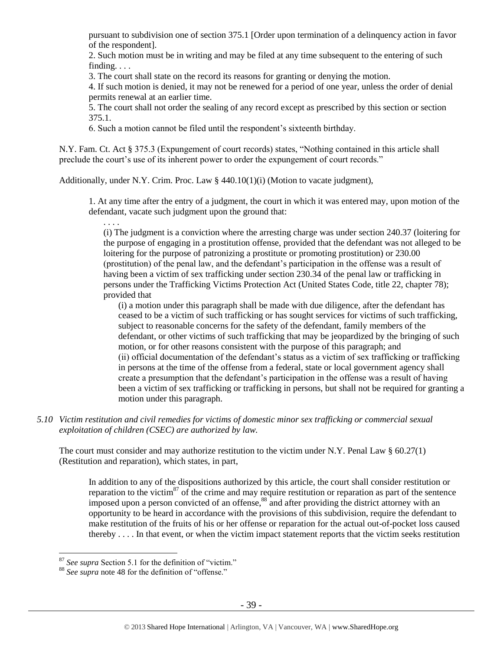pursuant to subdivision one of section 375.1 [Order upon termination of a delinquency action in favor of the respondent].

2. Such motion must be in writing and may be filed at any time subsequent to the entering of such finding. . . .

3. The court shall state on the record its reasons for granting or denying the motion.

4. If such motion is denied, it may not be renewed for a period of one year, unless the order of denial permits renewal at an earlier time.

5. The court shall not order the sealing of any record except as prescribed by this section or section 375.1.

6. Such a motion cannot be filed until the respondent's sixteenth birthday.

N.Y. Fam. Ct. Act § 375.3 (Expungement of court records) states, "Nothing contained in this article shall preclude the court's use of its inherent power to order the expungement of court records."

Additionally, under N.Y. Crim. Proc. Law  $\S$  440.10(1)(i) (Motion to vacate judgment),

1. At any time after the entry of a judgment, the court in which it was entered may, upon motion of the defendant, vacate such judgment upon the ground that:

(i) The judgment is a conviction where the arresting charge was under section 240.37 (loitering for the purpose of engaging in a prostitution offense, provided that the defendant was not alleged to be loitering for the purpose of patronizing a prostitute or promoting prostitution) or 230.00 (prostitution) of the penal law, and the defendant's participation in the offense was a result of having been a victim of sex trafficking under section 230.34 of the penal law or trafficking in persons under the Trafficking Victims Protection Act (United States Code, title 22, chapter 78); provided that

(i) a motion under this paragraph shall be made with due diligence, after the defendant has ceased to be a victim of such trafficking or has sought services for victims of such trafficking, subject to reasonable concerns for the safety of the defendant, family members of the defendant, or other victims of such trafficking that may be jeopardized by the bringing of such motion, or for other reasons consistent with the purpose of this paragraph; and (ii) official documentation of the defendant's status as a victim of sex trafficking or trafficking in persons at the time of the offense from a federal, state or local government agency shall create a presumption that the defendant's participation in the offense was a result of having been a victim of sex trafficking or trafficking in persons, but shall not be required for granting a motion under this paragraph.

*5.10 Victim restitution and civil remedies for victims of domestic minor sex trafficking or commercial sexual exploitation of children (CSEC) are authorized by law.* 

The court must consider and may authorize restitution to the victim under N.Y. Penal Law § 60.27(1) (Restitution and reparation), which states, in part,

In addition to any of the dispositions authorized by this article, the court shall consider restitution or reparation to the victim<sup>87</sup> of the crime and may require restitution or reparation as part of the sentence imposed upon a person convicted of an offense,  $^{88}$  and after providing the district attorney with an opportunity to be heard in accordance with the provisions of this subdivision, require the defendant to make restitution of the fruits of his or her offense or reparation for the actual out-of-pocket loss caused thereby . . . . In that event, or when the victim impact statement reports that the victim seeks restitution

 $\overline{a}$ 

. . . .

<sup>87</sup> *See supra* Section 5.1 for the definition of "victim."

<sup>88</sup> *See supra* note [48](#page-19-0) for the definition of "offense."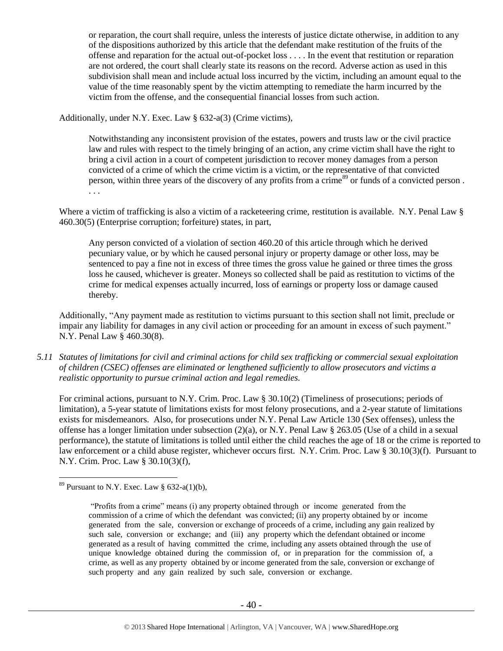or reparation, the court shall require, unless the interests of justice dictate otherwise, in addition to any of the dispositions authorized by this article that the defendant make restitution of the fruits of the offense and reparation for the actual out-of-pocket loss . . . . In the event that restitution or reparation are not ordered, the court shall clearly state its reasons on the record. Adverse action as used in this subdivision shall mean and include actual loss incurred by the victim, including an amount equal to the value of the time reasonably spent by the victim attempting to remediate the harm incurred by the victim from the offense, and the consequential financial losses from such action.

Additionally, under N.Y. Exec. Law § 632-a(3) (Crime victims),

Notwithstanding any inconsistent provision of the estates, powers and trusts law or the civil practice law and rules with respect to the timely bringing of an action, any crime victim shall have the right to bring a civil action in a court of competent jurisdiction to recover money damages from a person convicted of a crime of which the crime victim is a victim, or the representative of that convicted person, within three years of the discovery of any profits from a crime<sup>89</sup> or funds of a convicted person. . . .

Where a victim of trafficking is also a victim of a racketeering crime, restitution is available. N.Y. Penal Law § 460.30(5) (Enterprise corruption; forfeiture) states, in part,

Any person convicted of a violation of section 460.20 of this article through which he derived pecuniary value, or by which he caused personal injury or property damage or other loss, may be sentenced to pay a fine not in excess of three times the gross value he gained or three times the gross loss he caused, whichever is greater. Moneys so collected shall be paid as restitution to victims of the crime for medical expenses actually incurred, loss of earnings or property loss or damage caused thereby.

Additionally, "Any payment made as restitution to victims pursuant to this section shall not limit, preclude or impair any liability for damages in any civil action or proceeding for an amount in excess of such payment." N.Y. Penal Law § 460.30(8).

*5.11 Statutes of limitations for civil and criminal actions for child sex trafficking or commercial sexual exploitation of children (CSEC) offenses are eliminated or lengthened sufficiently to allow prosecutors and victims a realistic opportunity to pursue criminal action and legal remedies.*

For criminal actions, pursuant to N.Y. Crim. Proc. Law § 30.10(2) (Timeliness of prosecutions; periods of limitation), a 5-year statute of limitations exists for most felony prosecutions, and a 2-year statute of limitations exists for misdemeanors. Also, for prosecutions under N.Y. Penal Law Article 130 (Sex offenses), unless the offense has a longer limitation under subsection (2)(a), or N.Y. Penal Law § 263.05 (Use of a child in a sexual performance), the statute of limitations is tolled until either the child reaches the age of 18 or the crime is reported to law enforcement or a child abuse register, whichever occurs first. N.Y. Crim. Proc. Law § 30.10(3)(f). Pursuant to N.Y. Crim. Proc. Law § 30.10(3)(f),

<sup>&</sup>lt;sup>89</sup> Pursuant to N.Y. Exec. Law  $\S$  632-a(1)(b),

<sup>&</sup>quot;Profits from a crime" means (i) any property obtained through or income generated from the commission of a crime of which the defendant was convicted; (ii) any property obtained by or income generated from the sale, conversion or exchange of proceeds of a crime, including any gain realized by such sale, conversion or exchange; and (iii) any property which the defendant obtained or income generated as a result of having committed the crime, including any assets obtained through the use of unique knowledge obtained during the commission of, or in preparation for the commission of, a crime, as well as any property obtained by or income generated from the sale, conversion or exchange of such property and any gain realized by such sale, conversion or exchange.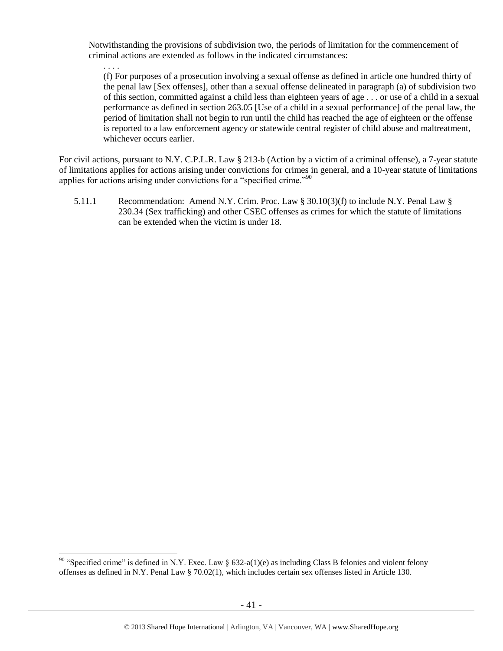Notwithstanding the provisions of subdivision two, the periods of limitation for the commencement of criminal actions are extended as follows in the indicated circumstances:

. . . . (f) For purposes of a prosecution involving a sexual offense as defined in article one hundred thirty of the penal law [Sex offenses], other than a sexual offense delineated in paragraph (a) of subdivision two of this section, committed against a child less than eighteen years of age . . . or use of a child in a sexual performance as defined in section 263.05 [Use of a child in a sexual performance] of the penal law, the period of limitation shall not begin to run until the child has reached the age of eighteen or the offense is reported to a law enforcement agency or statewide central register of child abuse and maltreatment, whichever occurs earlier.

For civil actions, pursuant to N.Y. C.P.L.R. Law § 213-b (Action by a victim of a criminal offense), a 7-year statute of limitations applies for actions arising under convictions for crimes in general, and a 10-year statute of limitations applies for actions arising under convictions for a "specified crime."<sup>90</sup>

5.11.1 Recommendation: Amend N.Y. Crim. Proc. Law § 30.10(3)(f) to include N.Y. Penal Law § 230.34 (Sex trafficking) and other CSEC offenses as crimes for which the statute of limitations can be extended when the victim is under 18.

<sup>&</sup>lt;sup>90</sup> "Specified crime" is defined in N.Y. Exec. Law § 632-a(1)(e) as including Class B felonies and violent felony offenses as defined in N.Y. Penal Law § 70.02(1), which includes certain sex offenses listed in Article 130.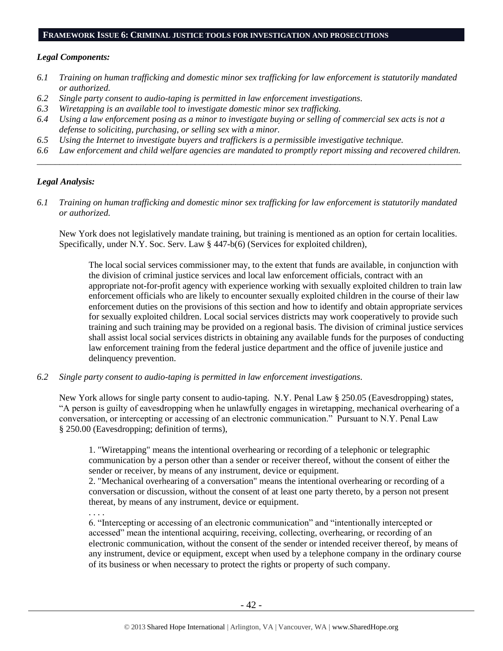#### **FRAMEWORK ISSUE 6: CRIMINAL JUSTICE TOOLS FOR INVESTIGATION AND PROSECUTIONS**

#### *Legal Components:*

- *6.1 Training on human trafficking and domestic minor sex trafficking for law enforcement is statutorily mandated or authorized.*
- *6.2 Single party consent to audio-taping is permitted in law enforcement investigations.*
- *6.3 Wiretapping is an available tool to investigate domestic minor sex trafficking.*
- *6.4 Using a law enforcement posing as a minor to investigate buying or selling of commercial sex acts is not a defense to soliciting, purchasing, or selling sex with a minor.*
- *6.5 Using the Internet to investigate buyers and traffickers is a permissible investigative technique.*
- *6.6 Law enforcement and child welfare agencies are mandated to promptly report missing and recovered children. \_\_\_\_\_\_\_\_\_\_\_\_\_\_\_\_\_\_\_\_\_\_\_\_\_\_\_\_\_\_\_\_\_\_\_\_\_\_\_\_\_\_\_\_\_\_\_\_\_\_\_\_\_\_\_\_\_\_\_\_\_\_\_\_\_\_\_\_\_\_\_\_\_\_\_\_\_\_\_\_\_\_\_\_\_\_\_\_\_\_\_\_\_\_*

# *Legal Analysis:*

. . . .

*6.1 Training on human trafficking and domestic minor sex trafficking for law enforcement is statutorily mandated or authorized.*

New York does not legislatively mandate training, but training is mentioned as an option for certain localities. Specifically, under N.Y. Soc. Serv. Law § 447-b(6) (Services for exploited children),

The local social services commissioner may, to the extent that funds are available, in conjunction with the division of criminal justice services and local law enforcement officials, contract with an appropriate not-for-profit agency with experience working with sexually exploited children to train law enforcement officials who are likely to encounter sexually exploited children in the course of their law enforcement duties on the provisions of this section and how to identify and obtain appropriate services for sexually exploited children. Local social services districts may work cooperatively to provide such training and such training may be provided on a regional basis. The division of criminal justice services shall assist local social services districts in obtaining any available funds for the purposes of conducting law enforcement training from the federal justice department and the office of juvenile justice and delinquency prevention.

*6.2 Single party consent to audio-taping is permitted in law enforcement investigations.*

New York allows for single party consent to audio-taping. N.Y. Penal Law § 250.05 (Eavesdropping) states, "A person is guilty of eavesdropping when he unlawfully engages in wiretapping, mechanical overhearing of a conversation, or intercepting or accessing of an electronic communication." Pursuant to N.Y. Penal Law § 250.00 (Eavesdropping; definition of terms),

1. "Wiretapping" means the intentional overhearing or recording of a telephonic or telegraphic communication by a person other than a sender or receiver thereof, without the consent of either the sender or receiver, by means of any instrument, device or equipment.

2. "Mechanical overhearing of a conversation" means the intentional overhearing or recording of a conversation or discussion, without the consent of at least one party thereto, by a person not present thereat, by means of any instrument, device or equipment.

6. "Intercepting or accessing of an electronic communication" and "intentionally intercepted or accessed" mean the intentional acquiring, receiving, collecting, overhearing, or recording of an electronic communication, without the consent of the sender or intended receiver thereof, by means of any instrument, device or equipment, except when used by a telephone company in the ordinary course of its business or when necessary to protect the rights or property of such company.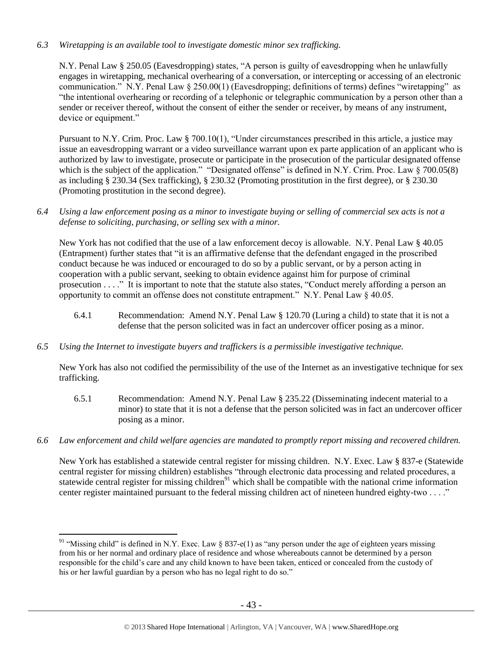# *6.3 Wiretapping is an available tool to investigate domestic minor sex trafficking.*

N.Y. Penal Law § 250.05 (Eavesdropping) states, "A person is guilty of eavesdropping when he unlawfully engages in wiretapping, mechanical overhearing of a conversation, or intercepting or accessing of an electronic communication." N.Y. Penal Law § 250.00(1) (Eavesdropping; definitions of terms) defines "wiretapping" as "the intentional overhearing or recording of a telephonic or telegraphic communication by a person other than a sender or receiver thereof, without the consent of either the sender or receiver, by means of any instrument, device or equipment."

Pursuant to N.Y. Crim. Proc. Law § 700.10(1), "Under circumstances prescribed in this article, a justice may issue an eavesdropping warrant or a video surveillance warrant upon ex parte application of an applicant who is authorized by law to investigate, prosecute or participate in the prosecution of the particular designated offense which is the subject of the application." "Designated offense" is defined in N.Y. Crim. Proc. Law § 700.05(8) as including § 230.34 (Sex trafficking), § 230.32 (Promoting prostitution in the first degree), or § 230.30 (Promoting prostitution in the second degree).

*6.4 Using a law enforcement posing as a minor to investigate buying or selling of commercial sex acts is not a defense to soliciting, purchasing, or selling sex with a minor.*

New York has not codified that the use of a law enforcement decoy is allowable. N.Y. Penal Law § 40.05 (Entrapment) further states that "it is an affirmative defense that the defendant engaged in the proscribed conduct because he was induced or encouraged to do so by a public servant, or by a person acting in cooperation with a public servant, seeking to obtain evidence against him for purpose of criminal prosecution . . . ." It is important to note that the statute also states, "Conduct merely affording a person an opportunity to commit an offense does not constitute entrapment." N.Y. Penal Law § 40.05.

- 6.4.1 Recommendation: Amend N.Y. Penal Law § 120.70 (Luring a child) to state that it is not a defense that the person solicited was in fact an undercover officer posing as a minor.
- *6.5 Using the Internet to investigate buyers and traffickers is a permissible investigative technique.*

New York has also not codified the permissibility of the use of the Internet as an investigative technique for sex trafficking.

- 6.5.1 Recommendation: Amend N.Y. Penal Law § 235.22 (Disseminating indecent material to a minor) to state that it is not a defense that the person solicited was in fact an undercover officer posing as a minor.
- *6.6 Law enforcement and child welfare agencies are mandated to promptly report missing and recovered children.*

New York has established a statewide central register for missing children. N.Y. Exec. Law § 837-e (Statewide central register for missing children) establishes "through electronic data processing and related procedures, a statewide central register for missing children<sup>91</sup> which shall be compatible with the national crime information center register maintained pursuant to the federal missing children act of nineteen hundred eighty-two  $\dots$ ."

<sup>&</sup>lt;sup>91</sup> "Missing child" is defined in N.Y. Exec. Law § 837-e(1) as "any person under the age of eighteen years missing from his or her normal and ordinary place of residence and whose whereabouts cannot be determined by a person responsible for the child's care and any child known to have been taken, enticed or concealed from the custody of his or her lawful guardian by a person who has no legal right to do so."